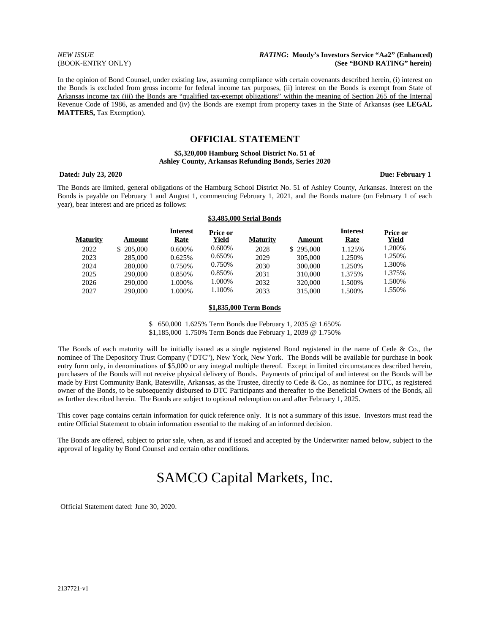#### *NEW ISSUE RATING***: Moody's Investors Service "Aa2" (Enhanced)**  (BOOK-ENTRY ONLY) **(See "BOND RATING" herein)**

In the opinion of Bond Counsel, under existing law, assuming compliance with certain covenants described herein, (i) interest on the Bonds is excluded from gross income for federal income tax purposes, (ii) interest on the Bonds is exempt from State of Arkansas income tax (iii) the Bonds are "qualified tax-exempt obligations" within the meaning of Section 265 of the Internal Revenue Code of 1986, as amended and (iv) the Bonds are exempt from property taxes in the State of Arkansas (see **LEGAL MATTERS,** Tax Exemption).

## **OFFICIAL STATEMENT**

#### **\$5,320,000 Hamburg School District No. 51 of Ashley County, Arkansas Refunding Bonds, Series 2020**

#### **Dated: July 23, 2020 Due: February 1**

The Bonds are limited, general obligations of the Hamburg School District No. 51 of Ashley County, Arkansas. Interest on the Bonds is payable on February 1 and August 1, commencing February 1, 2021, and the Bonds mature (on February 1 of each year), bear interest and are priced as follows:

#### **\$3,485,000 Serial Bonds**

| <b>Maturity</b> | Amount     | <b>Interest</b><br>Rate | <b>Price or</b><br>Yield | <b>Maturity</b> | Amount    | <b>Interest</b><br>Rate | Price or<br>Yield |
|-----------------|------------|-------------------------|--------------------------|-----------------|-----------|-------------------------|-------------------|
| 2022            | \$ 205,000 | $0.600\%$               | 0.600%                   | 2028            | \$295,000 | 1.125%                  | 1.200%            |
| 2023            | 285,000    | 0.625%                  | 0.650%                   | 2029            | 305,000   | 1.250%                  | 1.250%            |
| 2024            | 280,000    | 0.750%                  | 0.750\%                  | 2030            | 300,000   | 1.250%                  | 1.300%            |
| 2025            | 290,000    | 0.850%                  | 0.850%                   | 2031            | 310,000   | 1.375%                  | 1.375%            |
| 2026            | 290,000    | 1.000%                  | 1.000%                   | 2032            | 320,000   | 1.500%                  | 1.500%            |
| 2027            | 290,000    | 1.000%                  | 1.100%                   | 2033            | 315,000   | 1.500%                  | 1.550%            |

#### **\$1,835,000 Term Bonds**

\$ 650,000 1.625% Term Bonds due February 1, 2035 @ 1.650% \$1,185,000 1.750% Term Bonds due February 1, 2039 @ 1.750%

The Bonds of each maturity will be initially issued as a single registered Bond registered in the name of Cede & Co., the nominee of The Depository Trust Company ("DTC"), New York, New York. The Bonds will be available for purchase in book entry form only, in denominations of \$5,000 or any integral multiple thereof. Except in limited circumstances described herein, purchasers of the Bonds will not receive physical delivery of Bonds. Payments of principal of and interest on the Bonds will be made by First Community Bank, Batesville, Arkansas, as the Trustee, directly to Cede & Co., as nominee for DTC, as registered owner of the Bonds, to be subsequently disbursed to DTC Participants and thereafter to the Beneficial Owners of the Bonds, all as further described herein. The Bonds are subject to optional redemption on and after February 1, 2025.

This cover page contains certain information for quick reference only. It is not a summary of this issue. Investors must read the entire Official Statement to obtain information essential to the making of an informed decision.

The Bonds are offered, subject to prior sale, when, as and if issued and accepted by the Underwriter named below, subject to the approval of legality by Bond Counsel and certain other conditions.

# SAMCO Capital Markets, Inc.

Official Statement dated: June 30, 2020.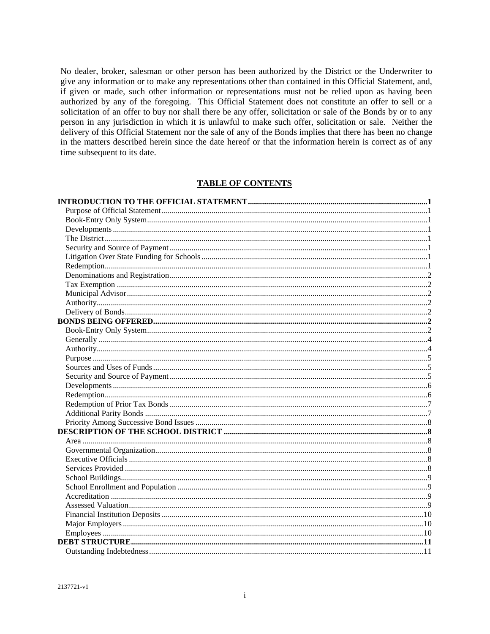No dealer, broker, salesman or other person has been authorized by the District or the Underwriter to give any information or to make any representations other than contained in this Official Statement, and, if given or made, such other information or representations must not be relied upon as having been authorized by any of the foregoing. This Official Statement does not constitute an offer to sell or a solicitation of an offer to buy nor shall there be any offer, solicitation or sale of the Bonds by or to any person in any jurisdiction in which it is unlawful to make such offer, solicitation or sale. Neither the delivery of this Official Statement nor the sale of any of the Bonds implies that there has been no change in the matters described herein since the date hereof or that the information herein is correct as of any time subsequent to its date.

## **TABLE OF CONTENTS**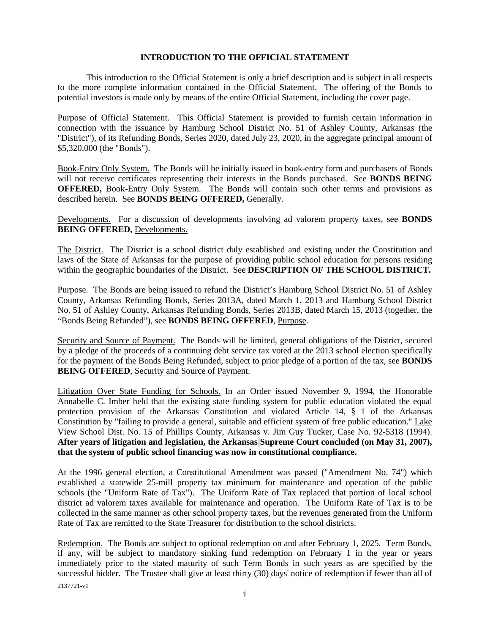## <span id="page-3-1"></span><span id="page-3-0"></span>**INTRODUCTION TO THE OFFICIAL STATEMENT**

This introduction to the Official Statement is only a brief description and is subject in all respects to the more complete information contained in the Official Statement. The offering of the Bonds to potential investors is made only by means of the entire Official Statement, including the cover page.

Purpose of Official Statement. This Official Statement is provided to furnish certain information in connection with the issuance by Hamburg School District No. 51 of Ashley County, Arkansas (the "District"), of its Refunding Bonds, Series 2020, dated July 23, 2020, in the aggregate principal amount of \$5,320,000 (the "Bonds").

<span id="page-3-2"></span>Book-Entry Only System. The Bonds will be initially issued in book-entry form and purchasers of Bonds will not receive certificates representing their interests in the Bonds purchased. See **BONDS BEING OFFERED,** Book-Entry Only System. The Bonds will contain such other terms and provisions as described herein. See **BONDS BEING OFFERED,** Generally.

<span id="page-3-3"></span>Developments. For a discussion of developments involving ad valorem property taxes, see **BONDS BEING OFFERED, Developments.** 

<span id="page-3-4"></span>The District. The District is a school district duly established and existing under the Constitution and laws of the State of Arkansas for the purpose of providing public school education for persons residing within the geographic boundaries of the District. See **DESCRIPTION OF THE SCHOOL DISTRICT.** 

Purpose. The Bonds are being issued to refund the District's Hamburg School District No. 51 of Ashley County, Arkansas Refunding Bonds, Series 2013A, dated March 1, 2013 and Hamburg School District No. 51 of Ashley County, Arkansas Refunding Bonds, Series 2013B, dated March 15, 2013 (together, the "Bonds Being Refunded"), see **BONDS BEING OFFERED**, Purpose.

<span id="page-3-5"></span>Security and Source of Payment. The Bonds will be limited, general obligations of the District, secured by a pledge of the proceeds of a continuing debt service tax voted at the 2013 school election specifically for the payment of the Bonds Being Refunded, subject to prior pledge of a portion of the tax, see **BONDS BEING OFFERED, Security and Source of Payment.** 

<span id="page-3-6"></span>Litigation Over State Funding for Schools. In an Order issued November 9, 1994, the Honorable Annabelle C. Imber held that the existing state funding system for public education violated the equal protection provision of the Arkansas Constitution and violated Article 14, § 1 of the Arkansas Constitution by "failing to provide a general, suitable and efficient system of free public education." Lake View School Dist. No. 15 of Phillips County, Arkansas v. Jim Guy Tucker, Case No. 92-5318 (1994). **After years of litigation and legislation, the Arkansas Supreme Court concluded (on May 31, 2007), that the system of public school financing was now in constitutional compliance.** 

At the 1996 general election, a Constitutional Amendment was passed ("Amendment No. 74") which established a statewide 25-mill property tax minimum for maintenance and operation of the public schools (the "Uniform Rate of Tax"). The Uniform Rate of Tax replaced that portion of local school district ad valorem taxes available for maintenance and operation. The Uniform Rate of Tax is to be collected in the same manner as other school property taxes, but the revenues generated from the Uniform Rate of Tax are remitted to the State Treasurer for distribution to the school districts.

<span id="page-3-7"></span>2137721-v1 Redemption. The Bonds are subject to optional redemption on and after February 1, 2025. Term Bonds, if any, will be subject to mandatory sinking fund redemption on February 1 in the year or years immediately prior to the stated maturity of such Term Bonds in such years as are specified by the successful bidder. The Trustee shall give at least thirty (30) days' notice of redemption if fewer than all of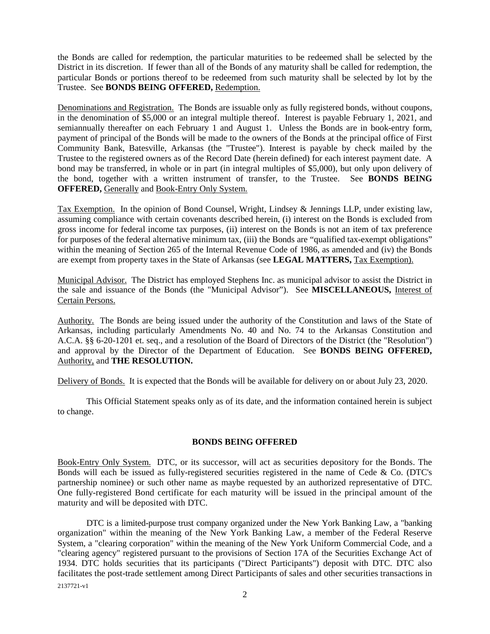the Bonds are called for redemption, the particular maturities to be redeemed shall be selected by the District in its discretion. If fewer than all of the Bonds of any maturity shall be called for redemption, the particular Bonds or portions thereof to be redeemed from such maturity shall be selected by lot by the Trustee. See **BONDS BEING OFFERED,** Redemption.

<span id="page-4-0"></span>Denominations and Registration. The Bonds are issuable only as fully registered bonds, without coupons, in the denomination of \$5,000 or an integral multiple thereof. Interest is payable February 1, 2021, and semiannually thereafter on each February 1 and August 1. Unless the Bonds are in book-entry form, payment of principal of the Bonds will be made to the owners of the Bonds at the principal office of First Community Bank, Batesville, Arkansas (the "Trustee"). Interest is payable by check mailed by the Trustee to the registered owners as of the Record Date (herein defined) for each interest payment date. A bond may be transferred, in whole or in part (in integral multiples of \$5,000), but only upon delivery of the bond, together with a written instrument of transfer, to the Trustee. See **BONDS BEING OFFERED,** Generally and Book-Entry Only System.

<span id="page-4-1"></span>Tax Exemption. In the opinion of Bond Counsel, Wright, Lindsey & Jennings LLP, under existing law, assuming compliance with certain covenants described herein, (i) interest on the Bonds is excluded from gross income for federal income tax purposes, (ii) interest on the Bonds is not an item of tax preference for purposes of the federal alternative minimum tax, (iii) the Bonds are "qualified tax-exempt obligations" within the meaning of Section 265 of the Internal Revenue Code of 1986, as amended and (iv) the Bonds are exempt from property taxes in the State of Arkansas (see **LEGAL MATTERS,** Tax Exemption).

<span id="page-4-2"></span>Municipal Advisor. The District has employed Stephens Inc. as municipal advisor to assist the District in the sale and issuance of the Bonds (the "Municipal Advisor"). See **MISCELLANEOUS,** Interest of Certain Persons.

<span id="page-4-3"></span>Authority. The Bonds are being issued under the authority of the Constitution and laws of the State of Arkansas, including particularly Amendments No. 40 and No. 74 to the Arkansas Constitution and A.C.A. §§ 6-20-1201 et. seq., and a resolution of the Board of Directors of the District (the "Resolution") and approval by the Director of the Department of Education. See **BONDS BEING OFFERED,**  Authority, and **THE RESOLUTION.** 

<span id="page-4-4"></span>Delivery of Bonds. It is expected that the Bonds will be available for delivery on or about July 23, 2020.

This Official Statement speaks only as of its date, and the information contained herein is subject to change.

## <span id="page-4-6"></span><span id="page-4-5"></span>**BONDS BEING OFFERED**

Book-Entry Only System. DTC, or its successor, will act as securities depository for the Bonds. The Bonds will each be issued as fully-registered securities registered in the name of Cede & Co. (DTC's partnership nominee) or such other name as maybe requested by an authorized representative of DTC. One fully-registered Bond certificate for each maturity will be issued in the principal amount of the maturity and will be deposited with DTC.

2137721-v1 DTC is a limited-purpose trust company organized under the New York Banking Law, a "banking organization" within the meaning of the New York Banking Law, a member of the Federal Reserve System, a "clearing corporation" within the meaning of the New York Uniform Commercial Code, and a "clearing agency" registered pursuant to the provisions of Section 17A of the Securities Exchange Act of 1934. DTC holds securities that its participants ("Direct Participants") deposit with DTC. DTC also facilitates the post-trade settlement among Direct Participants of sales and other securities transactions in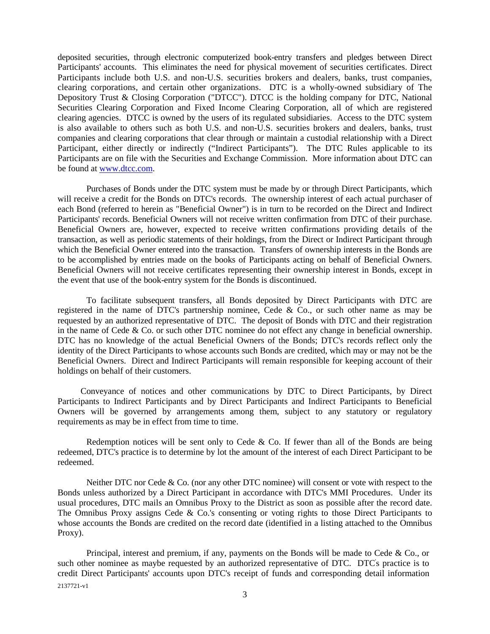deposited securities, through electronic computerized book-entry transfers and pledges between Direct Participants' accounts. This eliminates the need for physical movement of securities certificates. Direct Participants include both U.S. and non-U.S. securities brokers and dealers, banks, trust companies, clearing corporations, and certain other organizations. DTC is a wholly-owned subsidiary of The Depository Trust & Closing Corporation ("DTCC"). DTCC is the holding company for DTC, National Securities Clearing Corporation and Fixed Income Clearing Corporation, all of which are registered clearing agencies. DTCC is owned by the users of its regulated subsidiaries. Access to the DTC system is also available to others such as both U.S. and non-U.S. securities brokers and dealers, banks, trust companies and clearing corporations that clear through or maintain a custodial relationship with a Direct Participant, either directly or indirectly ("Indirect Participants"). The DTC Rules applicable to its Participants are on file with the Securities and Exchange Commission. More information about DTC can be found at [www.dtcc.com.](http://www.dtcc.com/)

Purchases of Bonds under the DTC system must be made by or through Direct Participants, which will receive a credit for the Bonds on DTC's records. The ownership interest of each actual purchaser of each Bond (referred to herein as "Beneficial Owner") is in turn to be recorded on the Direct and Indirect Participants' records. Beneficial Owners will not receive written confirmation from DTC of their purchase. Beneficial Owners are, however, expected to receive written confirmations providing details of the transaction, as well as periodic statements of their holdings, from the Direct or Indirect Participant through which the Beneficial Owner entered into the transaction. Transfers of ownership interests in the Bonds are to be accomplished by entries made on the books of Participants acting on behalf of Beneficial Owners. Beneficial Owners will not receive certificates representing their ownership interest in Bonds, except in the event that use of the book-entry system for the Bonds is discontinued.

To facilitate subsequent transfers, all Bonds deposited by Direct Participants with DTC are registered in the name of DTC's partnership nominee, Cede & Co., or such other name as may be requested by an authorized representative of DTC. The deposit of Bonds with DTC and their registration in the name of Cede & Co. or such other DTC nominee do not effect any change in beneficial ownership. DTC has no knowledge of the actual Beneficial Owners of the Bonds; DTC's records reflect only the identity of the Direct Participants to whose accounts such Bonds are credited, which may or may not be the Beneficial Owners. Direct and Indirect Participants will remain responsible for keeping account of their holdings on behalf of their customers.

Conveyance of notices and other communications by DTC to Direct Participants, by Direct Participants to Indirect Participants and by Direct Participants and Indirect Participants to Beneficial Owners will be governed by arrangements among them, subject to any statutory or regulatory requirements as may be in effect from time to time.

Redemption notices will be sent only to Cede  $\&$  Co. If fewer than all of the Bonds are being redeemed, DTC's practice is to determine by lot the amount of the interest of each Direct Participant to be redeemed.

Neither DTC nor Cede & Co. (nor any other DTC nominee) will consent or vote with respect to the Bonds unless authorized by a Direct Participant in accordance with DTC's MMI Procedures. Under its usual procedures, DTC mails an Omnibus Proxy to the District as soon as possible after the record date. The Omnibus Proxy assigns Cede & Co.'s consenting or voting rights to those Direct Participants to whose accounts the Bonds are credited on the record date (identified in a listing attached to the Omnibus Proxy).

2137721-v1 Principal, interest and premium, if any, payments on the Bonds will be made to Cede & Co., or such other nominee as maybe requested by an authorized representative of DTC. DTC's practice is to credit Direct Participants' accounts upon DTC's receipt of funds and corresponding detail information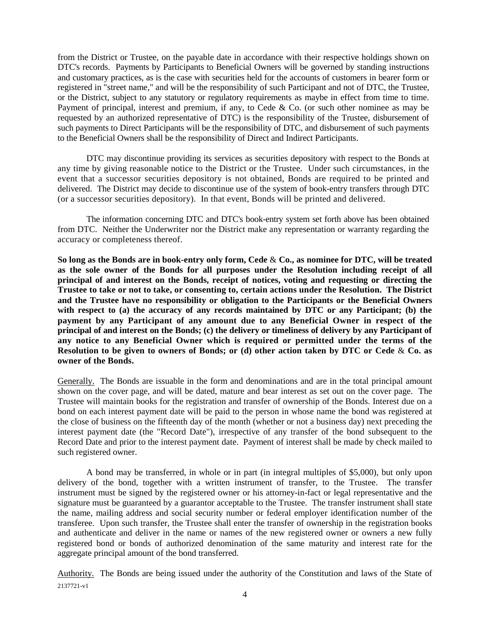from the District or Trustee, on the payable date in accordance with their respective holdings shown on DTC's records. Payments by Participants to Beneficial Owners will be governed by standing instructions and customary practices, as is the case with securities held for the accounts of customers in bearer form or registered in "street name," and will be the responsibility of such Participant and not of DTC, the Trustee, or the District, subject to any statutory or regulatory requirements as maybe in effect from time to time. Payment of principal, interest and premium, if any, to Cede & Co. (or such other nominee as may be requested by an authorized representative of DTC) is the responsibility of the Trustee, disbursement of such payments to Direct Participants will be the responsibility of DTC, and disbursement of such payments to the Beneficial Owners shall be the responsibility of Direct and Indirect Participants.

DTC may discontinue providing its services as securities depository with respect to the Bonds at any time by giving reasonable notice to the District or the Trustee. Under such circumstances, in the event that a successor securities depository is not obtained, Bonds are required to be printed and delivered. The District may decide to discontinue use of the system of book-entry transfers through DTC (or a successor securities depository). In that event, Bonds will be printed and delivered.

The information concerning DTC and DTC's book-entry system set forth above has been obtained from DTC. Neither the Underwriter nor the District make any representation or warranty regarding the accuracy or completeness thereof.

**So long as the Bonds are in book-entry only form, Cede** & **Co., as nominee for DTC, will be treated as the sole owner of the Bonds for all purposes under the Resolution including receipt of all principal of and interest on the Bonds, receipt of notices, voting and requesting or directing the Trustee to take or not to take, or consenting to, certain actions under the Resolution. The District and the Trustee have no responsibility or obligation to the Participants or the Beneficial Owners with respect to (a) the accuracy of any records maintained by DTC or any Participant; (b) the payment by any Participant of any amount due to any Beneficial Owner in respect of the principal of and interest on the Bonds; (c) the delivery or timeliness of delivery by any Participant of any notice to any Beneficial Owner which is required or permitted under the terms of the Resolution to be given to owners of Bonds; or (d) other action taken by DTC or Cede** & **Co. as owner of the Bonds.**

<span id="page-6-0"></span>Generally. The Bonds are issuable in the form and denominations and are in the total principal amount shown on the cover page, and will be dated, mature and bear interest as set out on the cover page. The Trustee will maintain books for the registration and transfer of ownership of the Bonds. Interest due on a bond on each interest payment date will be paid to the person in whose name the bond was registered at the close of business on the fifteenth day of the month (whether or not a business day) next preceding the interest payment date (the "Record Date"), irrespective of any transfer of the bond subsequent to the Record Date and prior to the interest payment date. Payment of interest shall be made by check mailed to such registered owner.

A bond may be transferred, in whole or in part (in integral multiples of \$5,000), but only upon delivery of the bond, together with a written instrument of transfer, to the Trustee. The transfer instrument must be signed by the registered owner or his attorney-in-fact or legal representative and the signature must be guaranteed by a guarantor acceptable to the Trustee. The transfer instrument shall state the name, mailing address and social security number or federal employer identification number of the transferee. Upon such transfer, the Trustee shall enter the transfer of ownership in the registration books and authenticate and deliver in the name or names of the new registered owner or owners a new fully registered bond or bonds of authorized denomination of the same maturity and interest rate for the aggregate principal amount of the bond transferred.

<span id="page-6-1"></span>2137721-v1 Authority. The Bonds are being issued under the authority of the Constitution and laws of the State of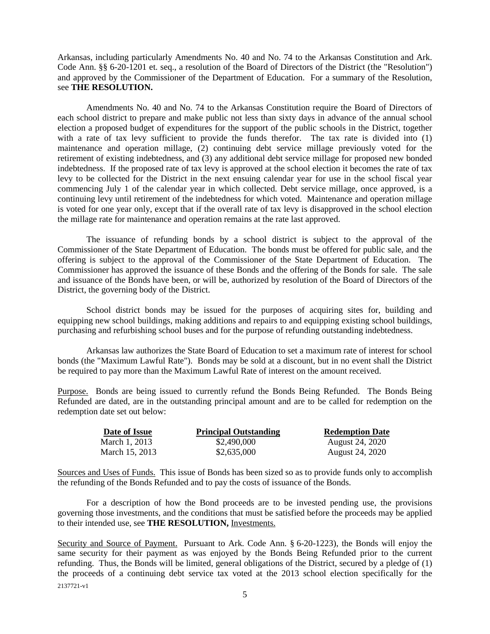Arkansas, including particularly Amendments No. 40 and No. 74 to the Arkansas Constitution and Ark. Code Ann. §§ 6-20-1201 et. seq., a resolution of the Board of Directors of the District (the "Resolution") and approved by the Commissioner of the Department of Education. For a summary of the Resolution, see **THE RESOLUTION.** 

Amendments No. 40 and No. 74 to the Arkansas Constitution require the Board of Directors of each school district to prepare and make public not less than sixty days in advance of the annual school election a proposed budget of expenditures for the support of the public schools in the District, together with a rate of tax levy sufficient to provide the funds therefor. The tax rate is divided into (1) maintenance and operation millage, (2) continuing debt service millage previously voted for the retirement of existing indebtedness, and (3) any additional debt service millage for proposed new bonded indebtedness. If the proposed rate of tax levy is approved at the school election it becomes the rate of tax levy to be collected for the District in the next ensuing calendar year for use in the school fiscal year commencing July 1 of the calendar year in which collected. Debt service millage, once approved, is a continuing levy until retirement of the indebtedness for which voted. Maintenance and operation millage is voted for one year only, except that if the overall rate of tax levy is disapproved in the school election the millage rate for maintenance and operation remains at the rate last approved.

The issuance of refunding bonds by a school district is subject to the approval of the Commissioner of the State Department of Education. The bonds must be offered for public sale, and the offering is subject to the approval of the Commissioner of the State Department of Education. The Commissioner has approved the issuance of these Bonds and the offering of the Bonds for sale. The sale and issuance of the Bonds have been, or will be, authorized by resolution of the Board of Directors of the District, the governing body of the District.

School district bonds may be issued for the purposes of acquiring sites for, building and equipping new school buildings, making additions and repairs to and equipping existing school buildings, purchasing and refurbishing school buses and for the purpose of refunding outstanding indebtedness.

Arkansas law authorizes the State Board of Education to set a maximum rate of interest for school bonds (the "Maximum Lawful Rate"). Bonds may be sold at a discount, but in no event shall the District be required to pay more than the Maximum Lawful Rate of interest on the amount received.

<span id="page-7-0"></span>Purpose. Bonds are being issued to currently refund the Bonds Being Refunded. The Bonds Being Refunded are dated, are in the outstanding principal amount and are to be called for redemption on the redemption date set out below:

<span id="page-7-1"></span>

| Date of Issue  | <b>Principal Outstanding</b> | <b>Redemption Date</b> |
|----------------|------------------------------|------------------------|
| March 1, 2013  | \$2,490,000                  | August 24, 2020        |
| March 15, 2013 | \$2,635,000                  | August 24, 2020        |

Sources and Uses of Funds. This issue of Bonds has been sized so as to provide funds only to accomplish the refunding of the Bonds Refunded and to pay the costs of issuance of the Bonds.

For a description of how the Bond proceeds are to be invested pending use, the provisions governing those investments, and the conditions that must be satisfied before the proceeds may be applied to their intended use, see **THE RESOLUTION,** Investments.

<span id="page-7-2"></span>2137721-v1 Security and Source of Payment. Pursuant to Ark. Code Ann. § 6-20-1223), the Bonds will enjoy the same security for their payment as was enjoyed by the Bonds Being Refunded prior to the current refunding. Thus, the Bonds will be limited, general obligations of the District, secured by a pledge of (1) the proceeds of a continuing debt service tax voted at the 2013 school election specifically for the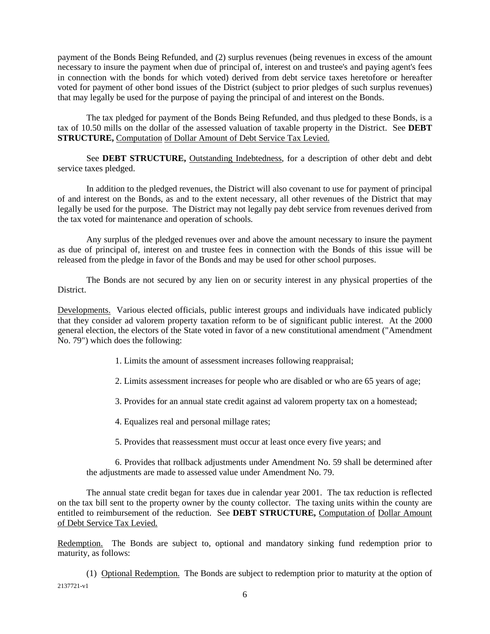payment of the Bonds Being Refunded, and (2) surplus revenues (being revenues in excess of the amount necessary to insure the payment when due of principal of, interest on and trustee's and paying agent's fees in connection with the bonds for which voted) derived from debt service taxes heretofore or hereafter voted for payment of other bond issues of the District (subject to prior pledges of such surplus revenues) that may legally be used for the purpose of paying the principal of and interest on the Bonds.

The tax pledged for payment of the Bonds Being Refunded, and thus pledged to these Bonds, is a tax of 10.50 mills on the dollar of the assessed valuation of taxable property in the District. See **DEBT STRUCTURE,** Computation of Dollar Amount of Debt Service Tax Levied.

See **DEBT STRUCTURE,** Outstanding Indebtedness, for a description of other debt and debt service taxes pledged.

In addition to the pledged revenues, the District will also covenant to use for payment of principal of and interest on the Bonds, as and to the extent necessary, all other revenues of the District that may legally be used for the purpose. The District may not legally pay debt service from revenues derived from the tax voted for maintenance and operation of schools.

Any surplus of the pledged revenues over and above the amount necessary to insure the payment as due of principal of, interest on and trustee fees in connection with the Bonds of this issue will be released from the pledge in favor of the Bonds and may be used for other school purposes.

The Bonds are not secured by any lien on or security interest in any physical properties of the District.

<span id="page-8-0"></span>Developments. Various elected officials, public interest groups and individuals have indicated publicly that they consider ad valorem property taxation reform to be of significant public interest. At the 2000 general election, the electors of the State voted in favor of a new constitutional amendment ("Amendment No. 79") which does the following:

1. Limits the amount of assessment increases following reappraisal;

2. Limits assessment increases for people who are disabled or who are 65 years of age;

3. Provides for an annual state credit against ad valorem property tax on a homestead;

4. Equalizes real and personal millage rates;

5. Provides that reassessment must occur at least once every five years; and

6. Provides that rollback adjustments under Amendment No. 59 shall be determined after the adjustments are made to assessed value under Amendment No. 79.

The annual state credit began for taxes due in calendar year 2001. The tax reduction is reflected on the tax bill sent to the property owner by the county collector. The taxing units within the county are entitled to reimbursement of the reduction. See **DEBT STRUCTURE,** Computation of Dollar Amount of Debt Service Tax Levied.

<span id="page-8-1"></span>Redemption. The Bonds are subject to, optional and mandatory sinking fund redemption prior to maturity, as follows:

2137721-v1 (1) Optional Redemption. The Bonds are subject to redemption prior to maturity at the option of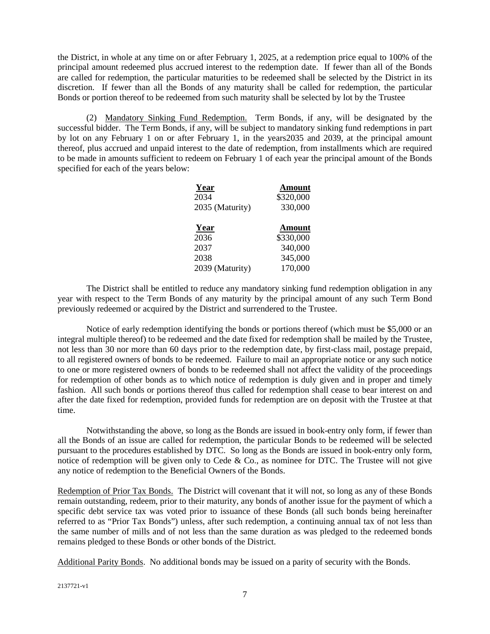the District, in whole at any time on or after February 1, 2025, at a redemption price equal to 100% of the principal amount redeemed plus accrued interest to the redemption date. If fewer than all of the Bonds are called for redemption, the particular maturities to be redeemed shall be selected by the District in its discretion. If fewer than all the Bonds of any maturity shall be called for redemption, the particular Bonds or portion thereof to be redeemed from such maturity shall be selected by lot by the Trustee

(2) Mandatory Sinking Fund Redemption. Term Bonds, if any, will be designated by the successful bidder. The Term Bonds, if any, will be subject to mandatory sinking fund redemptions in part by lot on any February 1 on or after February 1, in the years2035 and 2039, at the principal amount thereof, plus accrued and unpaid interest to the date of redemption, from installments which are required to be made in amounts sufficient to redeem on February 1 of each year the principal amount of the Bonds specified for each of the years below:

| Year            | <b>Amount</b> |
|-----------------|---------------|
| 2034            | \$320,000     |
| 2035 (Maturity) | 330,000       |
| Year            | <b>Amount</b> |
| 2036            | \$330,000     |
| 2037            | 340,000       |
| 2038            | 345,000       |
| 2039 (Maturity) | 170,000       |

The District shall be entitled to reduce any mandatory sinking fund redemption obligation in any year with respect to the Term Bonds of any maturity by the principal amount of any such Term Bond previously redeemed or acquired by the District and surrendered to the Trustee.

Notice of early redemption identifying the bonds or portions thereof (which must be \$5,000 or an integral multiple thereof) to be redeemed and the date fixed for redemption shall be mailed by the Trustee, not less than 30 nor more than 60 days prior to the redemption date, by first-class mail, postage prepaid, to all registered owners of bonds to be redeemed. Failure to mail an appropriate notice or any such notice to one or more registered owners of bonds to be redeemed shall not affect the validity of the proceedings for redemption of other bonds as to which notice of redemption is duly given and in proper and timely fashion. All such bonds or portions thereof thus called for redemption shall cease to bear interest on and after the date fixed for redemption, provided funds for redemption are on deposit with the Trustee at that time.

Notwithstanding the above, so long as the Bonds are issued in book-entry only form, if fewer than all the Bonds of an issue are called for redemption, the particular Bonds to be redeemed will be selected pursuant to the procedures established by DTC. So long as the Bonds are issued in book-entry only form, notice of redemption will be given only to Cede & Co., as nominee for DTC. The Trustee will not give any notice of redemption to the Beneficial Owners of the Bonds.

<span id="page-9-0"></span>Redemption of Prior Tax Bonds. The District will covenant that it will not, so long as any of these Bonds remain outstanding, redeem, prior to their maturity, any bonds of another issue for the payment of which a specific debt service tax was voted prior to issuance of these Bonds (all such bonds being hereinafter referred to as "Prior Tax Bonds") unless, after such redemption, a continuing annual tax of not less than the same number of mills and of not less than the same duration as was pledged to the redeemed bonds remains pledged to these Bonds or other bonds of the District.

<span id="page-9-1"></span>Additional Parity Bonds. No additional bonds may be issued on a parity of security with the Bonds.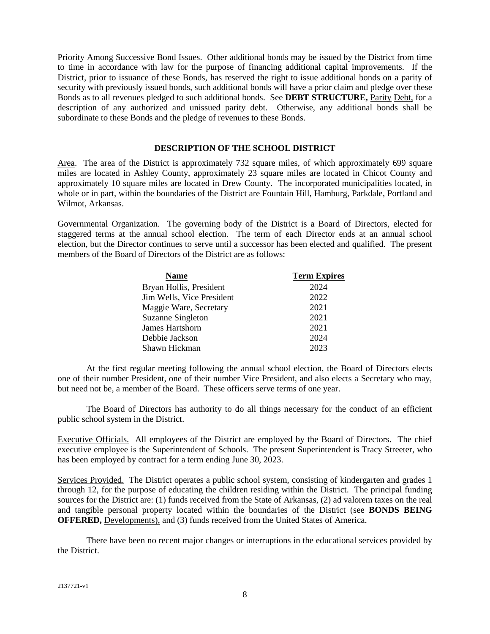Priority Among Successive Bond Issues. Other additional bonds may be issued by the District from time to time in accordance with law for the purpose of financing additional capital improvements. If the District, prior to issuance of these Bonds, has reserved the right to issue additional bonds on a parity of security with previously issued bonds, such additional bonds will have a prior claim and pledge over these Bonds as to all revenues pledged to such additional bonds. See **DEBT STRUCTURE,** Parity Debt, for a description of any authorized and unissued parity debt. Otherwise, any additional bonds shall be subordinate to these Bonds and the pledge of revenues to these Bonds.

## <span id="page-10-1"></span><span id="page-10-0"></span>**DESCRIPTION OF THE SCHOOL DISTRICT**

<span id="page-10-2"></span>Area. The area of the District is approximately 732 square miles, of which approximately 699 square miles are located in Ashley County, approximately 23 square miles are located in Chicot County and approximately 10 square miles are located in Drew County. The incorporated municipalities located, in whole or in part, within the boundaries of the District are Fountain Hill, Hamburg, Parkdale, Portland and Wilmot, Arkansas.

Governmental Organization. The governing body of the District is a Board of Directors, elected for staggered terms at the annual school election. The term of each Director ends at an annual school election, but the Director continues to serve until a successor has been elected and qualified. The present members of the Board of Directors of the District are as follows:

<span id="page-10-3"></span>

| <b>Name</b>               | <b>Term Expires</b> |
|---------------------------|---------------------|
| Bryan Hollis, President   | 2024                |
| Jim Wells, Vice President | 2022                |
| Maggie Ware, Secretary    | 2021                |
| <b>Suzanne Singleton</b>  | 2021                |
| James Hartshorn           | 2021                |
| Debbie Jackson            | 2024                |
| Shawn Hickman             | 2023                |

At the first regular meeting following the annual school election, the Board of Directors elects one of their number President, one of their number Vice President, and also elects a Secretary who may, but need not be, a member of the Board. These officers serve terms of one year.

The Board of Directors has authority to do all things necessary for the conduct of an efficient public school system in the District.

<span id="page-10-4"></span>Executive Officials. All employees of the District are employed by the Board of Directors. The chief executive employee is the Superintendent of Schools. The present Superintendent is Tracy Streeter, who has been employed by contract for a term ending June 30, 2023.

<span id="page-10-5"></span>Services Provided. The District operates a public school system, consisting of kindergarten and grades 1 through 12, for the purpose of educating the children residing within the District. The principal funding sources for the District are: (1) funds received from the State of Arkansas, (2) ad valorem taxes on the real and tangible personal property located within the boundaries of the District (see **BONDS BEING OFFERED,** Developments), and (3) funds received from the United States of America.

There have been no recent major changes or interruptions in the educational services provided by the District.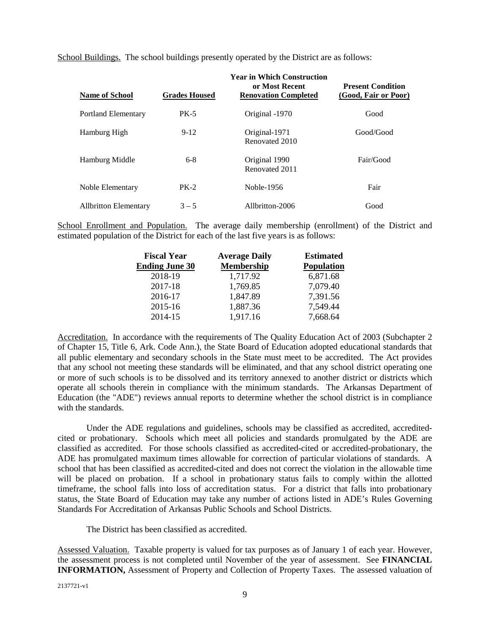School Buildings. The school buildings presently operated by the District are as follows:

<span id="page-11-0"></span>

| <b>Name of School</b>        | <b>Grades Housed</b> | <b>Year in Which Construction</b><br>or Most Recent<br><b>Renovation Completed</b> | <b>Present Condition</b><br>(Good, Fair or Poor) |
|------------------------------|----------------------|------------------------------------------------------------------------------------|--------------------------------------------------|
| <b>Portland Elementary</b>   | <b>PK-5</b>          | Original -1970                                                                     | Good                                             |
| Hamburg High                 | $9 - 12$             | Original-1971<br>Renovated 2010                                                    | Good/Good                                        |
| Hamburg Middle               | $6-8$                | Original 1990<br>Renovated 2011                                                    | Fair/Good                                        |
| Noble Elementary             | $PK-2$               | Noble-1956                                                                         | Fair                                             |
| <b>Allbritton Elementary</b> | $3 - 5$              | Allbritton-2006                                                                    | Good                                             |

School Enrollment and Population. The average daily membership (enrollment) of the District and estimated population of the District for each of the last five years is as follows:

<span id="page-11-1"></span>

| <b>Fiscal Year</b>    | <b>Average Daily</b> | <b>Estimated</b>  |
|-----------------------|----------------------|-------------------|
| <b>Ending June 30</b> | <b>Membership</b>    | <b>Population</b> |
| 2018-19               | 1,717.92             | 6,871.68          |
| 2017-18               | 1,769.85             | 7,079.40          |
| 2016-17               | 1,847.89             | 7,391.56          |
| 2015-16               | 1,887.36             | 7,549.44          |
| 2014-15               | 1,917.16             | 7,668.64          |

<span id="page-11-2"></span>Accreditation. In accordance with the requirements of The Quality Education Act of 2003 (Subchapter 2 of Chapter 15, Title 6, Ark. Code Ann.), the State Board of Education adopted educational standards that all public elementary and secondary schools in the State must meet to be accredited. The Act provides that any school not meeting these standards will be eliminated, and that any school district operating one or more of such schools is to be dissolved and its territory annexed to another district or districts which operate all schools therein in compliance with the minimum standards. The Arkansas Department of Education (the "ADE") reviews annual reports to determine whether the school district is in compliance with the standards.

Under the ADE regulations and guidelines, schools may be classified as accredited, accreditedcited or probationary. Schools which meet all policies and standards promulgated by the ADE are classified as accredited. For those schools classified as accredited-cited or accredited-probationary, the ADE has promulgated maximum times allowable for correction of particular violations of standards. A school that has been classified as accredited-cited and does not correct the violation in the allowable time will be placed on probation. If a school in probationary status fails to comply within the allotted timeframe, the school falls into loss of accreditation status. For a district that falls into probationary status, the State Board of Education may take any number of actions listed in ADE's Rules Governing Standards For Accreditation of Arkansas Public Schools and School Districts.

<span id="page-11-3"></span>The District has been classified as accredited.

Assessed Valuation. Taxable property is valued for tax purposes as of January 1 of each year. However, the assessment process is not completed until November of the year of assessment. See **FINANCIAL INFORMATION,** Assessment of Property and Collection of Property Taxes. The assessed valuation of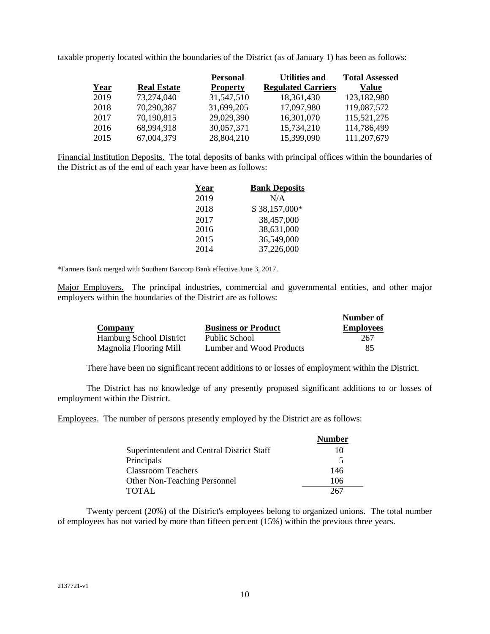taxable property located within the boundaries of the District (as of January 1) has been as follows:

|      |                    | <b>Personal</b> | <b>Utilities and</b>      | <b>Total Assessed</b> |
|------|--------------------|-----------------|---------------------------|-----------------------|
| Year | <b>Real Estate</b> | <b>Property</b> | <b>Regulated Carriers</b> | Value                 |
| 2019 | 73,274,040         | 31,547,510      | 18,361,430                | 123,182,980           |
| 2018 | 70,290,387         | 31,699,205      | 17,097,980                | 119,087,572           |
| 2017 | 70,190,815         | 29,029,390      | 16,301,070                | 115,521,275           |
| 2016 | 68,994,918         | 30,057,371      | 15,734,210                | 114,786,499           |
| 2015 | 67,004,379         | 28,804,210      | 15,399,090                | 111,207,679           |

Financial Institution Deposits. The total deposits of banks with principal offices within the boundaries of the District as of the end of each year have been as follows:

<span id="page-12-0"></span>

| Year | <b>Bank Deposits</b> |
|------|----------------------|
| 2019 | N/A                  |
| 2018 | \$38,157,000*        |
| 2017 | 38,457,000           |
| 2016 | 38,631,000           |
| 2015 | 36,549,000           |
| 2014 | 37,226,000           |

\*Farmers Bank merged with Southern Bancorp Bank effective June 3, 2017.

Major Employers. The principal industries, commercial and governmental entities, and other major employers within the boundaries of the District are as follows:

<span id="page-12-1"></span>

| Company                        | <b>Business or Product</b> | Number of<br><b>Employees</b> |
|--------------------------------|----------------------------|-------------------------------|
| <b>Hamburg School District</b> | Public School              | 267                           |
| Magnolia Flooring Mill         | Lumber and Wood Products   | 85                            |

There have been no significant recent additions to or losses of employment within the District.

The District has no knowledge of any presently proposed significant additions to or losses of employment within the District.

Employees. The number of persons presently employed by the District are as follows:

<span id="page-12-2"></span>

|                                           | <b>Number</b> |
|-------------------------------------------|---------------|
| Superintendent and Central District Staff | 10            |
| Principals                                | 5             |
| <b>Classroom Teachers</b>                 | 146           |
| <b>Other Non-Teaching Personnel</b>       | 106           |
| <b>TOTAL</b>                              | 267           |

Twenty percent (20%) of the District's employees belong to organized unions. The total number of employees has not varied by more than fifteen percent (15%) within the previous three years.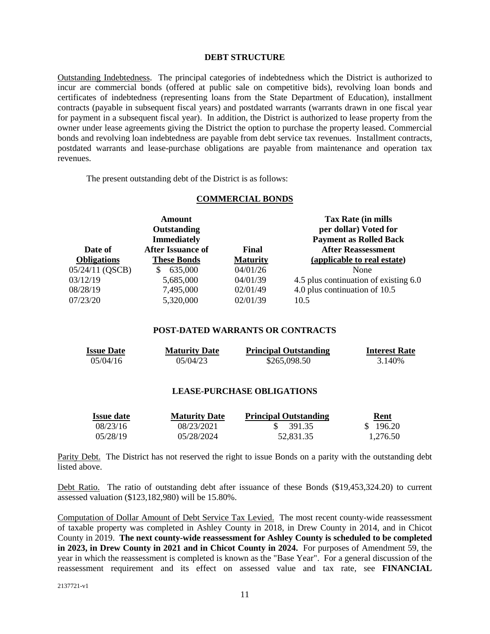### <span id="page-13-1"></span><span id="page-13-0"></span>**DEBT STRUCTURE**

Outstanding Indebtedness. The principal categories of indebtedness which the District is authorized to incur are commercial bonds (offered at public sale on competitive bids), revolving loan bonds and certificates of indebtedness (representing loans from the State Department of Education), installment contracts (payable in subsequent fiscal years) and postdated warrants (warrants drawn in one fiscal year for payment in a subsequent fiscal year). In addition, the District is authorized to lease property from the owner under lease agreements giving the District the option to purchase the property leased. Commercial bonds and revolving loan indebtedness are payable from debt service tax revenues. Installment contracts, postdated warrants and lease-purchase obligations are payable from maintenance and operation tax revenues.

The present outstanding debt of the District is as follows:

#### **COMMERCIAL BONDS**

| <b>Amount</b><br>Outstanding<br><b>Immediately</b> |                          |                 | <b>Tax Rate (in mills</b><br>per dollar) Voted for<br><b>Payment as Rolled Back</b> |
|----------------------------------------------------|--------------------------|-----------------|-------------------------------------------------------------------------------------|
| Date of                                            | <b>After Issuance of</b> | Final           | <b>After Reassessment</b>                                                           |
| <b>Obligations</b>                                 | <b>These Bonds</b>       | <b>Maturity</b> | (applicable to real estate)                                                         |
| 05/24/11 (QSCB)                                    | 635,000<br>\$.           | 04/01/26        | None                                                                                |
| 03/12/19                                           | 5,685,000                | 04/01/39        | 4.5 plus continuation of existing 6.0                                               |
| 08/28/19                                           | 7,495,000                | 02/01/49        | 4.0 plus continuation of 10.5                                                       |
| 07/23/20                                           | 5,320,000                | 02/01/39        | 10.5                                                                                |

## <span id="page-13-2"></span>**POST-DATED WARRANTS OR CONTRACTS**

| <b>Issue Date</b> | <b>Maturity Date</b> | <b>Principal Outstanding</b> | <b>Interest Rate</b> |
|-------------------|----------------------|------------------------------|----------------------|
| 05/04/16          | 05/04/23             | \$265,098.50                 | 3.140\%              |

## <span id="page-13-6"></span><span id="page-13-3"></span>**LEASE-PURCHASE OBLIGATIONS**

<span id="page-13-4"></span>

| <b>Issue date</b> | <b>Maturity Date</b> | <b>Principal Outstanding</b> | Rent     |
|-------------------|----------------------|------------------------------|----------|
| 08/23/16          | 08/23/2021           | 391.35                       | \$196.20 |
| 05/28/19          | 05/28/2024           | 52.831.35                    | 1.276.50 |

Parity Debt. The District has not reserved the right to issue Bonds on a parity with the outstanding debt listed above.

<span id="page-13-5"></span>Debt Ratio. The ratio of outstanding debt after issuance of these Bonds (\$19,453,324.20) to current assessed valuation (\$123,182,980) will be 15.80%.

Computation of Dollar Amount of Debt Service Tax Levied. The most recent county-wide reassessment of taxable property was completed in Ashley County in 2018, in Drew County in 2014, and in Chicot County in 2019. **The next county-wide reassessment for Ashley County is scheduled to be completed in 2023, in Drew County in 2021 and in Chicot County in 2024.** For purposes of Amendment 59, the year in which the reassessment is completed is known as the "Base Year". For a general discussion of the reassessment requirement and its effect on assessed value and tax rate, see **FINANCIAL**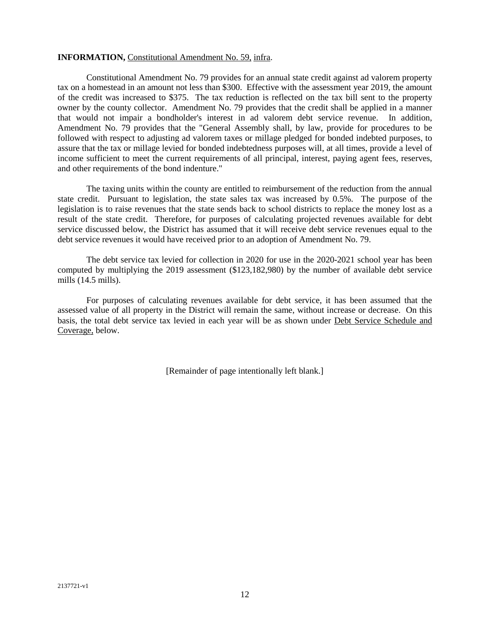#### **INFORMATION,** Constitutional Amendment No. 59, infra.

Constitutional Amendment No. 79 provides for an annual state credit against ad valorem property tax on a homestead in an amount not less than \$300. Effective with the assessment year 2019, the amount of the credit was increased to \$375. The tax reduction is reflected on the tax bill sent to the property owner by the county collector. Amendment No. 79 provides that the credit shall be applied in a manner that would not impair a bondholder's interest in ad valorem debt service revenue. In addition, Amendment No. 79 provides that the "General Assembly shall, by law, provide for procedures to be followed with respect to adjusting ad valorem taxes or millage pledged for bonded indebted purposes, to assure that the tax or millage levied for bonded indebtedness purposes will, at all times, provide a level of income sufficient to meet the current requirements of all principal, interest, paying agent fees, reserves, and other requirements of the bond indenture."

The taxing units within the county are entitled to reimbursement of the reduction from the annual state credit. Pursuant to legislation, the state sales tax was increased by 0.5%. The purpose of the legislation is to raise revenues that the state sends back to school districts to replace the money lost as a result of the state credit. Therefore, for purposes of calculating projected revenues available for debt service discussed below, the District has assumed that it will receive debt service revenues equal to the debt service revenues it would have received prior to an adoption of Amendment No. 79.

The debt service tax levied for collection in 2020 for use in the 2020-2021 school year has been computed by multiplying the 2019 assessment (\$123,182,980) by the number of available debt service mills (14.5 mills).

For purposes of calculating revenues available for debt service, it has been assumed that the assessed value of all property in the District will remain the same, without increase or decrease. On this basis, the total debt service tax levied in each year will be as shown under Debt Service Schedule and Coverage, below.

[Remainder of page intentionally left blank.]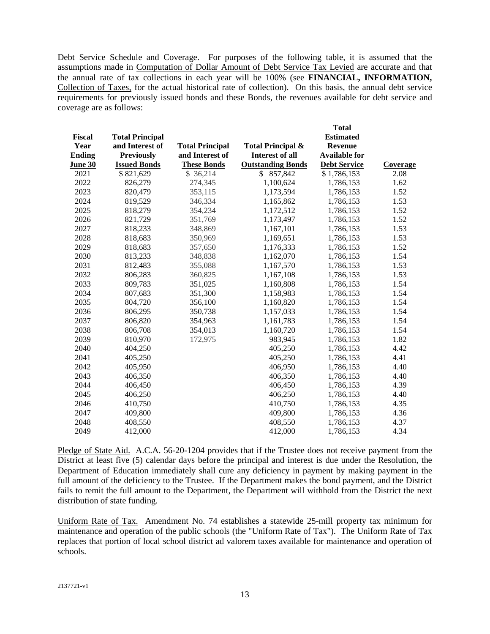<span id="page-15-0"></span>Debt Service Schedule and Coverage. For purposes of the following table, it is assumed that the assumptions made in Computation of Dollar Amount of Debt Service Tax Levied are accurate and that the annual rate of tax collections in each year will be 100% (see **FINANCIAL, INFORMATION,**  Collection of Taxes, for the actual historical rate of collection). On this basis, the annual debt service requirements for previously issued bonds and these Bonds, the revenues available for debt service and coverage are as follows:

|               |                        |                        |                              | <b>Total</b>         |                 |
|---------------|------------------------|------------------------|------------------------------|----------------------|-----------------|
| Fiscal        | <b>Total Principal</b> |                        |                              | <b>Estimated</b>     |                 |
| Year          | and Interest of        | <b>Total Principal</b> | <b>Total Principal &amp;</b> | <b>Revenue</b>       |                 |
| <b>Ending</b> | <b>Previously</b>      | and Interest of        | <b>Interest of all</b>       | <b>Available for</b> |                 |
| June 30       | <b>Issued Bonds</b>    | <b>These Bonds</b>     | <b>Outstanding Bonds</b>     | <b>Debt Service</b>  | <b>Coverage</b> |
| 2021          | \$821,629              | \$36,214               | \$857,842                    | \$1,786,153          | 2.08            |
| 2022          | 826,279                | 274,345                | 1,100,624                    | 1,786,153            | 1.62            |
| 2023          | 820,479                | 353,115                | 1,173,594                    | 1,786,153            | 1.52            |
| 2024          | 819,529                | 346,334                | 1,165,862                    | 1,786,153            | 1.53            |
| 2025          | 818,279                | 354,234                | 1,172,512                    | 1,786,153            | 1.52            |
| 2026          | 821,729                | 351,769                | 1,173,497                    | 1,786,153            | 1.52            |
| 2027          | 818,233                | 348,869                | 1,167,101                    | 1,786,153            | 1.53            |
| 2028          | 818,683                | 350,969                | 1,169,651                    | 1,786,153            | 1.53            |
| 2029          | 818,683                | 357,650                | 1,176,333                    | 1,786,153            | 1.52            |
| 2030          | 813,233                | 348,838                | 1,162,070                    | 1,786,153            | 1.54            |
| 2031          | 812,483                | 355,088                | 1,167,570                    | 1,786,153            | 1.53            |
| 2032          | 806,283                | 360,825                | 1,167,108                    | 1,786,153            | 1.53            |
| 2033          | 809,783                | 351,025                | 1,160,808                    | 1,786,153            | 1.54            |
| 2034          | 807,683                | 351,300                | 1,158,983                    | 1,786,153            | 1.54            |
| 2035          | 804,720                | 356,100                | 1,160,820                    | 1,786,153            | 1.54            |
| 2036          | 806,295                | 350,738                | 1,157,033                    | 1,786,153            | 1.54            |
| 2037          | 806,820                | 354,963                | 1,161,783                    | 1,786,153            | 1.54            |
| 2038          | 806,708                | 354,013                | 1,160,720                    | 1,786,153            | 1.54            |
| 2039          | 810,970                | 172,975                | 983,945                      | 1,786,153            | 1.82            |
| 2040          | 404,250                |                        | 405,250                      | 1,786,153            | 4.42            |
| 2041          | 405,250                |                        | 405,250                      | 1,786,153            | 4.41            |
| 2042          | 405,950                |                        | 406,950                      | 1,786,153            | 4.40            |
| 2043          | 406,350                |                        | 406,350                      | 1,786,153            | 4.40            |
| 2044          | 406,450                |                        | 406,450                      | 1,786,153            | 4.39            |
| 2045          | 406,250                |                        | 406,250                      | 1,786,153            | 4.40            |
| 2046          | 410,750                |                        | 410,750                      | 1,786,153            | 4.35            |
| 2047          | 409,800                |                        | 409,800                      | 1,786,153            | 4.36            |
| 2048          | 408,550                |                        | 408,550                      | 1,786,153            | 4.37            |
| 2049          | 412,000                |                        | 412,000                      | 1,786,153            | 4.34            |
|               |                        |                        |                              |                      |                 |

<span id="page-15-1"></span>Pledge of State Aid. A.C.A. 56-20-1204 provides that if the Trustee does not receive payment from the District at least five (5) calendar days before the principal and interest is due under the Resolution, the Department of Education immediately shall cure any deficiency in payment by making payment in the full amount of the deficiency to the Trustee. If the Department makes the bond payment, and the District fails to remit the full amount to the Department, the Department will withhold from the District the next distribution of state funding.

<span id="page-15-2"></span>Uniform Rate of Tax. Amendment No. 74 establishes a statewide 25-mill property tax minimum for maintenance and operation of the public schools (the "Uniform Rate of Tax"). The Uniform Rate of Tax replaces that portion of local school district ad valorem taxes available for maintenance and operation of schools.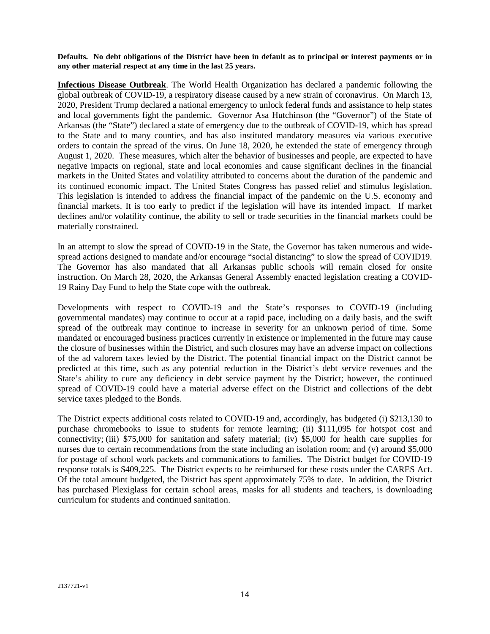<span id="page-16-0"></span>**Defaults. No debt obligations of the District have been in default as to principal or interest payments or in any other material respect at any time in the last 25 years.** 

<span id="page-16-1"></span>**Infectious Disease Outbreak**. The World Health Organization has declared a pandemic following the global outbreak of COVID-19, a respiratory disease caused by a new strain of coronavirus. On March 13, 2020, President Trump declared a national emergency to unlock federal funds and assistance to help states and local governments fight the pandemic. Governor Asa Hutchinson (the "Governor") of the State of Arkansas (the "State") declared a state of emergency due to the outbreak of COVID-19, which has spread to the State and to many counties, and has also instituted mandatory measures via various executive orders to contain the spread of the virus. On June 18, 2020, he extended the state of emergency through August 1, 2020. These measures, which alter the behavior of businesses and people, are expected to have negative impacts on regional, state and local economies and cause significant declines in the financial markets in the United States and volatility attributed to concerns about the duration of the pandemic and its continued economic impact. The United States Congress has passed relief and stimulus legislation. This legislation is intended to address the financial impact of the pandemic on the U.S. economy and financial markets. It is too early to predict if the legislation will have its intended impact. If market declines and/or volatility continue, the ability to sell or trade securities in the financial markets could be materially constrained.

In an attempt to slow the spread of COVID-19 in the State, the Governor has taken numerous and widespread actions designed to mandate and/or encourage "social distancing" to slow the spread of COVID19. The Governor has also mandated that all Arkansas public schools will remain closed for onsite instruction. On March 28, 2020, the Arkansas General Assembly enacted legislation creating a COVID-19 Rainy Day Fund to help the State cope with the outbreak.

Developments with respect to COVID-19 and the State's responses to COVID-19 (including governmental mandates) may continue to occur at a rapid pace, including on a daily basis, and the swift spread of the outbreak may continue to increase in severity for an unknown period of time. Some mandated or encouraged business practices currently in existence or implemented in the future may cause the closure of businesses within the District, and such closures may have an adverse impact on collections of the ad valorem taxes levied by the District. The potential financial impact on the District cannot be predicted at this time, such as any potential reduction in the District's debt service revenues and the State's ability to cure any deficiency in debt service payment by the District; however, the continued spread of COVID-19 could have a material adverse effect on the District and collections of the debt service taxes pledged to the Bonds.

The District expects additional costs related to COVID-19 and, accordingly, has budgeted (i) \$213,130 to purchase chromebooks to issue to students for remote learning; (ii) \$111,095 for hotspot cost and connectivity; (iii) \$75,000 for sanitation and safety material; (iv) \$5,000 for health care supplies for nurses due to certain recommendations from the state including an isolation room; and (v) around \$5,000 for postage of school work packets and communications to families. The District budget for COVID-19 response totals is \$409,225. The District expects to be reimbursed for these costs under the CARES Act. Of the total amount budgeted, the District has spent approximately 75% to date. In addition, the District has purchased Plexiglass for certain school areas, masks for all students and teachers, is downloading curriculum for students and continued sanitation.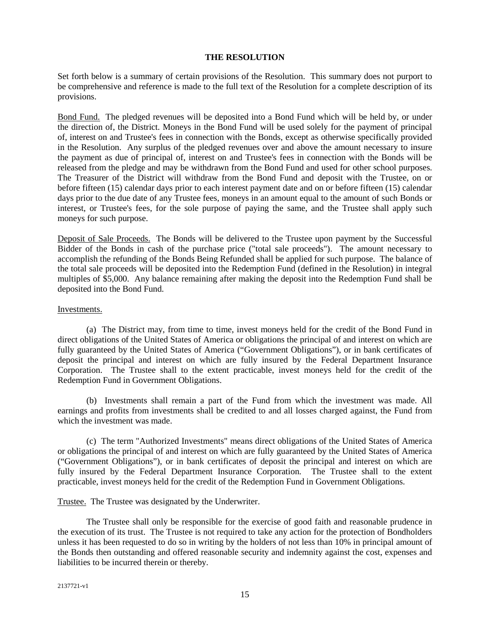## <span id="page-17-0"></span>**THE RESOLUTION**

Set forth below is a summary of certain provisions of the Resolution. This summary does not purport to be comprehensive and reference is made to the full text of the Resolution for a complete description of its provisions.

<span id="page-17-1"></span>Bond Fund. The pledged revenues will be deposited into a Bond Fund which will be held by, or under the direction of, the District. Moneys in the Bond Fund will be used solely for the payment of principal of, interest on and Trustee's fees in connection with the Bonds, except as otherwise specifically provided in the Resolution. Any surplus of the pledged revenues over and above the amount necessary to insure the payment as due of principal of, interest on and Trustee's fees in connection with the Bonds will be released from the pledge and may be withdrawn from the Bond Fund and used for other school purposes. The Treasurer of the District will withdraw from the Bond Fund and deposit with the Trustee, on or before fifteen (15) calendar days prior to each interest payment date and on or before fifteen (15) calendar days prior to the due date of any Trustee fees, moneys in an amount equal to the amount of such Bonds or interest, or Trustee's fees, for the sole purpose of paying the same, and the Trustee shall apply such moneys for such purpose.

<span id="page-17-2"></span>Deposit of Sale Proceeds. The Bonds will be delivered to the Trustee upon payment by the Successful Bidder of the Bonds in cash of the purchase price ("total sale proceeds"). The amount necessary to accomplish the refunding of the Bonds Being Refunded shall be applied for such purpose. The balance of the total sale proceeds will be deposited into the Redemption Fund (defined in the Resolution) in integral multiples of \$5,000. Any balance remaining after making the deposit into the Redemption Fund shall be deposited into the Bond Fund.

## <span id="page-17-3"></span>Investments.

(a) The District may, from time to time, invest moneys held for the credit of the Bond Fund in direct obligations of the United States of America or obligations the principal of and interest on which are fully guaranteed by the United States of America ("Government Obligations"), or in bank certificates of deposit the principal and interest on which are fully insured by the Federal Department Insurance Corporation. The Trustee shall to the extent practicable, invest moneys held for the credit of the Redemption Fund in Government Obligations.

(b) Investments shall remain a part of the Fund from which the investment was made. All earnings and profits from investments shall be credited to and all losses charged against, the Fund from which the investment was made.

(c) The term "Authorized Investments" means direct obligations of the United States of America or obligations the principal of and interest on which are fully guaranteed by the United States of America ("Government Obligations"), or in bank certificates of deposit the principal and interest on which are fully insured by the Federal Department Insurance Corporation. The Trustee shall to the extent practicable, invest moneys held for the credit of the Redemption Fund in Government Obligations.

<span id="page-17-4"></span>Trustee. The Trustee was designated by the Underwriter.

The Trustee shall only be responsible for the exercise of good faith and reasonable prudence in the execution of its trust. The Trustee is not required to take any action for the protection of Bondholders unless it has been requested to do so in writing by the holders of not less than 10% in principal amount of the Bonds then outstanding and offered reasonable security and indemnity against the cost, expenses and liabilities to be incurred therein or thereby.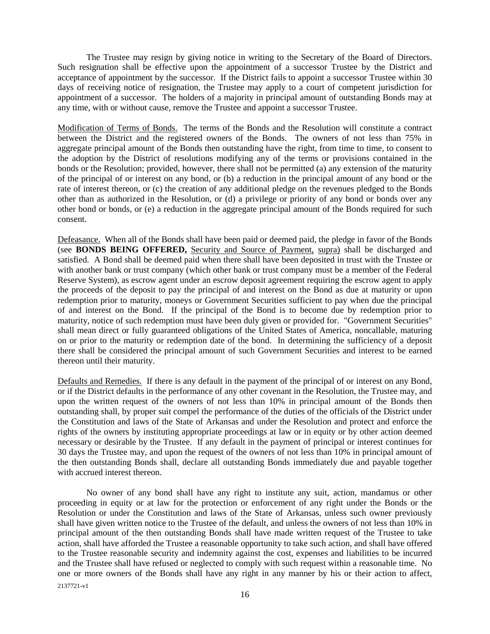The Trustee may resign by giving notice in writing to the Secretary of the Board of Directors. Such resignation shall be effective upon the appointment of a successor Trustee by the District and acceptance of appointment by the successor. If the District fails to appoint a successor Trustee within 30 days of receiving notice of resignation, the Trustee may apply to a court of competent jurisdiction for appointment of a successor. The holders of a majority in principal amount of outstanding Bonds may at any time, with or without cause, remove the Trustee and appoint a successor Trustee.

<span id="page-18-0"></span>Modification of Terms of Bonds. The terms of the Bonds and the Resolution will constitute a contract between the District and the registered owners of the Bonds. The owners of not less than 75% in aggregate principal amount of the Bonds then outstanding have the right, from time to time, to consent to the adoption by the District of resolutions modifying any of the terms or provisions contained in the bonds or the Resolution; provided, however, there shall not be permitted (a) any extension of the maturity of the principal of or interest on any bond, or (b) a reduction in the principal amount of any bond or the rate of interest thereon, or (c) the creation of any additional pledge on the revenues pledged to the Bonds other than as authorized in the Resolution, or (d) a privilege or priority of any bond or bonds over any other bond or bonds, or (e) a reduction in the aggregate principal amount of the Bonds required for such consent.

<span id="page-18-1"></span>Defeasance. When all of the Bonds shall have been paid or deemed paid, the pledge in favor of the Bonds (see **BONDS BEING OFFERED,** Security and Source of Payment, supra) shall be discharged and satisfied. A Bond shall be deemed paid when there shall have been deposited in trust with the Trustee or with another bank or trust company (which other bank or trust company must be a member of the Federal Reserve System), as escrow agent under an escrow deposit agreement requiring the escrow agent to apply the proceeds of the deposit to pay the principal of and interest on the Bond as due at maturity or upon redemption prior to maturity, moneys or Government Securities sufficient to pay when due the principal of and interest on the Bond. If the principal of the Bond is to become due by redemption prior to maturity, notice of such redemption must have been duly given or provided for. "Government Securities" shall mean direct or fully guaranteed obligations of the United States of America, noncallable, maturing on or prior to the maturity or redemption date of the bond. In determining the sufficiency of a deposit there shall be considered the principal amount of such Government Securities and interest to be earned thereon until their maturity.

<span id="page-18-2"></span>Defaults and Remedies. If there is any default in the payment of the principal of or interest on any Bond, or if the District defaults in the performance of any other covenant in the Resolution, the Trustee may, and upon the written request of the owners of not less than 10% in principal amount of the Bonds then outstanding shall, by proper suit compel the performance of the duties of the officials of the District under the Constitution and laws of the State of Arkansas and under the Resolution and protect and enforce the rights of the owners by instituting appropriate proceedings at law or in equity or by other action deemed necessary or desirable by the Trustee. If any default in the payment of principal or interest continues for 30 days the Trustee may, and upon the request of the owners of not less than 10% in principal amount of the then outstanding Bonds shall, declare all outstanding Bonds immediately due and payable together with accrued interest thereon.

2137721-v1 No owner of any bond shall have any right to institute any suit, action, mandamus or other proceeding in equity or at law for the protection or enforcement of any right under the Bonds or the Resolution or under the Constitution and laws of the State of Arkansas, unless such owner previously shall have given written notice to the Trustee of the default, and unless the owners of not less than 10% in principal amount of the then outstanding Bonds shall have made written request of the Trustee to take action, shall have afforded the Trustee a reasonable opportunity to take such action, and shall have offered to the Trustee reasonable security and indemnity against the cost, expenses and liabilities to be incurred and the Trustee shall have refused or neglected to comply with such request within a reasonable time. No one or more owners of the Bonds shall have any right in any manner by his or their action to affect,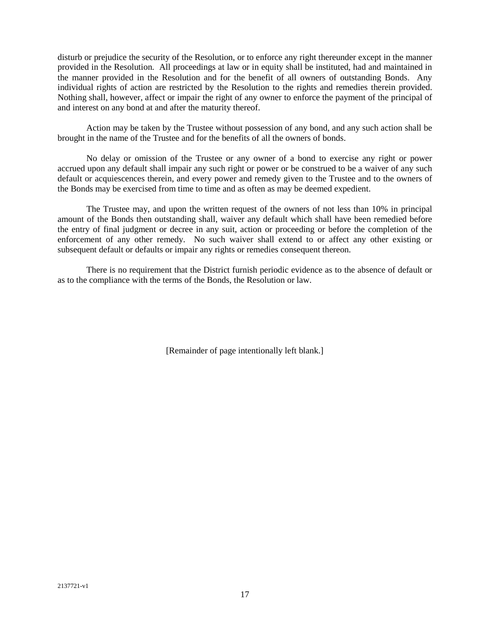disturb or prejudice the security of the Resolution, or to enforce any right thereunder except in the manner provided in the Resolution. All proceedings at law or in equity shall be instituted, had and maintained in the manner provided in the Resolution and for the benefit of all owners of outstanding Bonds. Any individual rights of action are restricted by the Resolution to the rights and remedies therein provided. Nothing shall, however, affect or impair the right of any owner to enforce the payment of the principal of and interest on any bond at and after the maturity thereof.

Action may be taken by the Trustee without possession of any bond, and any such action shall be brought in the name of the Trustee and for the benefits of all the owners of bonds.

No delay or omission of the Trustee or any owner of a bond to exercise any right or power accrued upon any default shall impair any such right or power or be construed to be a waiver of any such default or acquiescences therein, and every power and remedy given to the Trustee and to the owners of the Bonds may be exercised from time to time and as often as may be deemed expedient.

The Trustee may, and upon the written request of the owners of not less than 10% in principal amount of the Bonds then outstanding shall, waiver any default which shall have been remedied before the entry of final judgment or decree in any suit, action or proceeding or before the completion of the enforcement of any other remedy. No such waiver shall extend to or affect any other existing or subsequent default or defaults or impair any rights or remedies consequent thereon.

There is no requirement that the District furnish periodic evidence as to the absence of default or as to the compliance with the terms of the Bonds, the Resolution or law.

[Remainder of page intentionally left blank.]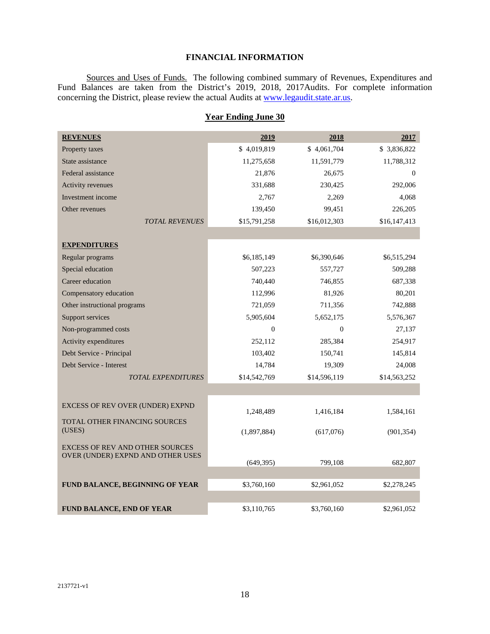## <span id="page-20-1"></span><span id="page-20-0"></span>**FINANCIAL INFORMATION**

Sources and Uses of Funds. The following combined summary of Revenues, Expenditures and Fund Balances are taken from the District's 2019, 2018, 2017Audits. For complete information concerning the District, please review the actual Audits at [www.legaudit.state.ar.us](http://www.legaudit.state.ar.us/).

| <b>REVENUES</b>                                                             | 2019         | 2018         | 2017         |
|-----------------------------------------------------------------------------|--------------|--------------|--------------|
| Property taxes                                                              | \$4,019,819  | \$4,061,704  | \$3,836,822  |
| State assistance                                                            | 11,275,658   | 11,591,779   | 11,788,312   |
| Federal assistance                                                          | 21,876       | 26,675       | $\mathbf{0}$ |
| Activity revenues                                                           | 331,688      | 230,425      | 292,006      |
| Investment income                                                           | 2,767        | 2,269        | 4,068        |
| Other revenues                                                              | 139,450      | 99,451       | 226,205      |
| <b>TOTAL REVENUES</b>                                                       | \$15,791,258 | \$16,012,303 | \$16,147,413 |
|                                                                             |              |              |              |
| <b>EXPENDITURES</b>                                                         |              |              |              |
| Regular programs                                                            | \$6,185,149  | \$6,390,646  | \$6,515,294  |
| Special education                                                           | 507,223      | 557,727      | 509,288      |
| Career education                                                            | 740,440      | 746,855      | 687,338      |
| Compensatory education                                                      | 112,996      | 81,926       | 80,201       |
| Other instructional programs                                                | 721,059      | 711,356      | 742,888      |
| Support services                                                            | 5,905,604    | 5,652,175    | 5,576,367    |
| Non-programmed costs                                                        | $\Omega$     | $\mathbf{0}$ | 27,137       |
| Activity expenditures                                                       | 252,112      | 285,384      | 254,917      |
| Debt Service - Principal                                                    | 103,402      | 150,741      | 145,814      |
| Debt Service - Interest                                                     | 14,784       | 19,309       | 24,008       |
| <b>TOTAL EXPENDITURES</b>                                                   | \$14,542,769 | \$14,596,119 | \$14,563,252 |
|                                                                             |              |              |              |
| EXCESS OF REV OVER (UNDER) EXPND                                            |              |              |              |
|                                                                             | 1,248,489    | 1,416,184    | 1,584,161    |
| TOTAL OTHER FINANCING SOURCES<br>(USES)                                     | (1,897,884)  | (617,076)    | (901, 354)   |
|                                                                             |              |              |              |
| <b>EXCESS OF REV AND OTHER SOURCES</b><br>OVER (UNDER) EXPND AND OTHER USES |              |              |              |
|                                                                             | (649, 395)   | 799,108      | 682,807      |
|                                                                             |              |              |              |
| FUND BALANCE, BEGINNING OF YEAR                                             | \$3,760,160  | \$2,961,052  | \$2,278,245  |
|                                                                             |              |              |              |
| FUND BALANCE, END OF YEAR                                                   | \$3,110,765  | \$3,760,160  | \$2,961,052  |

# **Year Ending June 30**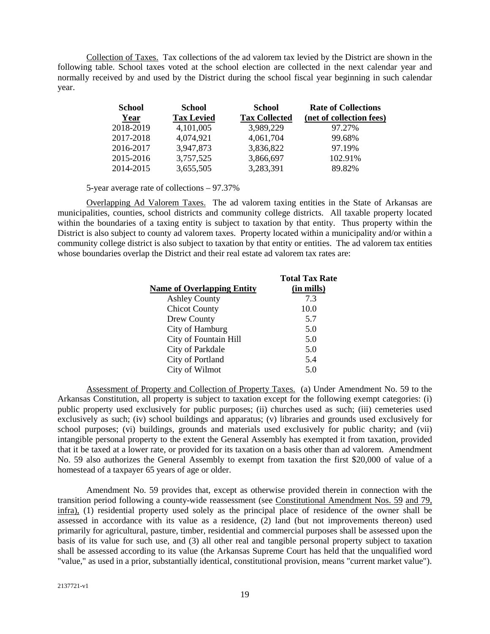Collection of Taxes. Tax collections of the ad valorem tax levied by the District are shown in the following table. School taxes voted at the school election are collected in the next calendar year and normally received by and used by the District during the school fiscal year beginning in such calendar year.

<span id="page-21-0"></span>

| <b>School</b> | <b>School</b>     | <b>School</b>        | <b>Rate of Collections</b> |
|---------------|-------------------|----------------------|----------------------------|
| Year          | <b>Tax Levied</b> | <b>Tax Collected</b> | (net of collection fees)   |
| 2018-2019     | 4,101,005         | 3,989,229            | 97.27%                     |
| 2017-2018     | 4,074,921         | 4,061,704            | 99.68%                     |
| 2016-2017     | 3,947,873         | 3,836,822            | 97.19%                     |
| 2015-2016     | 3,757,525         | 3,866,697            | 102.91%                    |
| 2014-2015     | 3,655,505         | 3,283,391            | 89.82%                     |

5-year average rate of collections – 97.37%

Overlapping Ad Valorem Taxes. The ad valorem taxing entities in the State of Arkansas are municipalities, counties, school districts and community college districts. All taxable property located within the boundaries of a taxing entity is subject to taxation by that entity. Thus property within the District is also subject to county ad valorem taxes. Property located within a municipality and/or within a community college district is also subject to taxation by that entity or entities. The ad valorem tax entities whose boundaries overlap the District and their real estate ad valorem tax rates are:

<span id="page-21-2"></span><span id="page-21-1"></span>

|                                   | <b>Total Tax Rate</b> |
|-----------------------------------|-----------------------|
| <b>Name of Overlapping Entity</b> | (in mills)            |
| <b>Ashley County</b>              | 7.3                   |
| <b>Chicot County</b>              | 10.0                  |
| Drew County                       | 5.7                   |
| City of Hamburg                   | 5.0                   |
| City of Fountain Hill             | 5.0                   |
| City of Parkdale                  | 5.0                   |
| City of Portland                  | 5.4                   |
| City of Wilmot                    | 5.0                   |

Assessment of Property and Collection of Property Taxes. (a) Under Amendment No. 59 to the Arkansas Constitution, all property is subject to taxation except for the following exempt categories: (i) public property used exclusively for public purposes; (ii) churches used as such; (iii) cemeteries used exclusively as such; (iv) school buildings and apparatus; (v) libraries and grounds used exclusively for school purposes; (vi) buildings, grounds and materials used exclusively for public charity; and (vii) intangible personal property to the extent the General Assembly has exempted it from taxation, provided that it be taxed at a lower rate, or provided for its taxation on a basis other than ad valorem. Amendment No. 59 also authorizes the General Assembly to exempt from taxation the first \$20,000 of value of a homestead of a taxpayer 65 years of age or older.

Amendment No. 59 provides that, except as otherwise provided therein in connection with the transition period following a county-wide reassessment (see Constitutional Amendment Nos. 59 and 79, infra), (1) residential property used solely as the principal place of residence of the owner shall be assessed in accordance with its value as a residence, (2) land (but not improvements thereon) used primarily for agricultural, pasture, timber, residential and commercial purposes shall be assessed upon the basis of its value for such use, and (3) all other real and tangible personal property subject to taxation shall be assessed according to its value (the Arkansas Supreme Court has held that the unqualified word "value," as used in a prior, substantially identical, constitutional provision, means "current market value").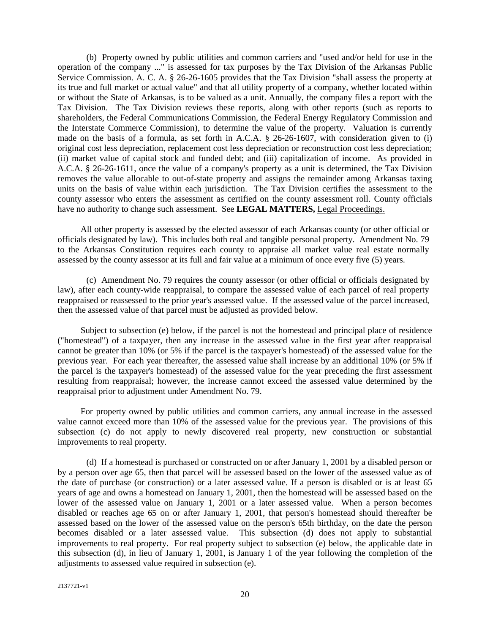(b) Property owned by public utilities and common carriers and "used and/or held for use in the operation of the company ..." is assessed for tax purposes by the Tax Division of the Arkansas Public Service Commission. A. C. A. § 26-26-1605 provides that the Tax Division "shall assess the property at its true and full market or actual value" and that all utility property of a company, whether located within or without the State of Arkansas, is to be valued as a unit. Annually, the company files a report with the Tax Division. The Tax Division reviews these reports, along with other reports (such as reports to shareholders, the Federal Communications Commission, the Federal Energy Regulatory Commission and the Interstate Commerce Commission), to determine the value of the property. Valuation is currently made on the basis of a formula, as set forth in A.C.A. § 26-26-1607, with consideration given to (i) original cost less depreciation, replacement cost less depreciation or reconstruction cost less depreciation; (ii) market value of capital stock and funded debt; and (iii) capitalization of income. As provided in A.C.A. § 26-26-1611, once the value of a company's property as a unit is determined, the Tax Division removes the value allocable to out-of-state property and assigns the remainder among Arkansas taxing units on the basis of value within each jurisdiction. The Tax Division certifies the assessment to the county assessor who enters the assessment as certified on the county assessment roll. County officials have no authority to change such assessment. See **LEGAL MATTERS,** Legal Proceedings.

All other property is assessed by the elected assessor of each Arkansas county (or other official or officials designated by law). This includes both real and tangible personal property. Amendment No. 79 to the Arkansas Constitution requires each county to appraise all market value real estate normally assessed by the county assessor at its full and fair value at a minimum of once every five (5) years.

(c) Amendment No. 79 requires the county assessor (or other official or officials designated by law), after each county-wide reappraisal, to compare the assessed value of each parcel of real property reappraised or reassessed to the prior year's assessed value. If the assessed value of the parcel increased, then the assessed value of that parcel must be adjusted as provided below.

Subject to subsection (e) below, if the parcel is not the homestead and principal place of residence ("homestead") of a taxpayer, then any increase in the assessed value in the first year after reappraisal cannot be greater than 10% (or 5% if the parcel is the taxpayer's homestead) of the assessed value for the previous year. For each year thereafter, the assessed value shall increase by an additional 10% (or 5% if the parcel is the taxpayer's homestead) of the assessed value for the year preceding the first assessment resulting from reappraisal; however, the increase cannot exceed the assessed value determined by the reappraisal prior to adjustment under Amendment No. 79.

For property owned by public utilities and common carriers, any annual increase in the assessed value cannot exceed more than 10% of the assessed value for the previous year. The provisions of this subsection (c) do not apply to newly discovered real property, new construction or substantial improvements to real property.

(d) If a homestead is purchased or constructed on or after January 1, 2001 by a disabled person or by a person over age 65, then that parcel will be assessed based on the lower of the assessed value as of the date of purchase (or construction) or a later assessed value. If a person is disabled or is at least 65 years of age and owns a homestead on January 1, 2001, then the homestead will be assessed based on the lower of the assessed value on January 1, 2001 or a later assessed value. When a person becomes disabled or reaches age 65 on or after January 1, 2001, that person's homestead should thereafter be assessed based on the lower of the assessed value on the person's 65th birthday, on the date the person becomes disabled or a later assessed value. This subsection (d) does not apply to substantial improvements to real property. For real property subject to subsection (e) below, the applicable date in this subsection (d), in lieu of January 1, 2001, is January 1 of the year following the completion of the adjustments to assessed value required in subsection (e).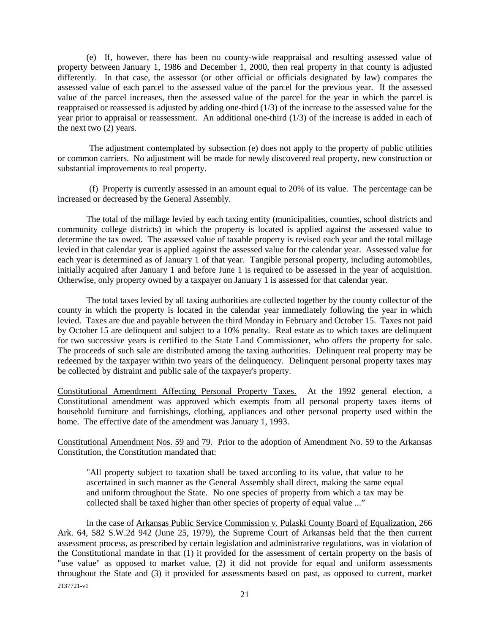(e) If, however, there has been no county-wide reappraisal and resulting assessed value of property between January 1, 1986 and December 1, 2000, then real property in that county is adjusted differently. In that case, the assessor (or other official or officials designated by law) compares the assessed value of each parcel to the assessed value of the parcel for the previous year. If the assessed value of the parcel increases, then the assessed value of the parcel for the year in which the parcel is reappraised or reassessed is adjusted by adding one-third (1/3) of the increase to the assessed value for the year prior to appraisal or reassessment. An additional one-third (1/3) of the increase is added in each of the next two  $(2)$  years.

The adjustment contemplated by subsection (e) does not apply to the property of public utilities or common carriers. No adjustment will be made for newly discovered real property, new construction or substantial improvements to real property.

(f) Property is currently assessed in an amount equal to 20% of its value. The percentage can be increased or decreased by the General Assembly.

The total of the millage levied by each taxing entity (municipalities, counties, school districts and community college districts) in which the property is located is applied against the assessed value to determine the tax owed. The assessed value of taxable property is revised each year and the total millage levied in that calendar year is applied against the assessed value for the calendar year. Assessed value for each year is determined as of January 1 of that year. Tangible personal property, including automobiles, initially acquired after January 1 and before June 1 is required to be assessed in the year of acquisition. Otherwise, only property owned by a taxpayer on January 1 is assessed for that calendar year.

The total taxes levied by all taxing authorities are collected together by the county collector of the county in which the property is located in the calendar year immediately following the year in which levied. Taxes are due and payable between the third Monday in February and October 15. Taxes not paid by October 15 are delinquent and subject to a 10% penalty. Real estate as to which taxes are delinquent for two successive years is certified to the State Land Commissioner, who offers the property for sale. The proceeds of such sale are distributed among the taxing authorities. Delinquent real property may be redeemed by the taxpayer within two years of the delinquency. Delinquent personal property taxes may be collected by distraint and public sale of the taxpayer's property.

Constitutional Amendment Affecting Personal Property Taxes. At the 1992 general election, a Constitutional amendment was approved which exempts from all personal property taxes items of household furniture and furnishings, clothing, appliances and other personal property used within the home. The effective date of the amendment was January 1, 1993.

Constitutional Amendment Nos. 59 and 79. Prior to the adoption of Amendment No. 59 to the Arkansas Constitution, the Constitution mandated that:

<span id="page-23-1"></span><span id="page-23-0"></span>"All property subject to taxation shall be taxed according to its value, that value to be ascertained in such manner as the General Assembly shall direct, making the same equal and uniform throughout the State. No one species of property from which a tax may be collected shall be taxed higher than other species of property of equal value ..."

2137721-v1 In the case of Arkansas Public Service Commission v. Pulaski County Board of Equalization, 266 Ark. 64, 582 S.W.2d 942 (June 25, 1979), the Supreme Court of Arkansas held that the then current assessment process, as prescribed by certain legislation and administrative regulations, was in violation of the Constitutional mandate in that (1) it provided for the assessment of certain property on the basis of "use value" as opposed to market value, (2) it did not provide for equal and uniform assessments throughout the State and (3) it provided for assessments based on past, as opposed to current, market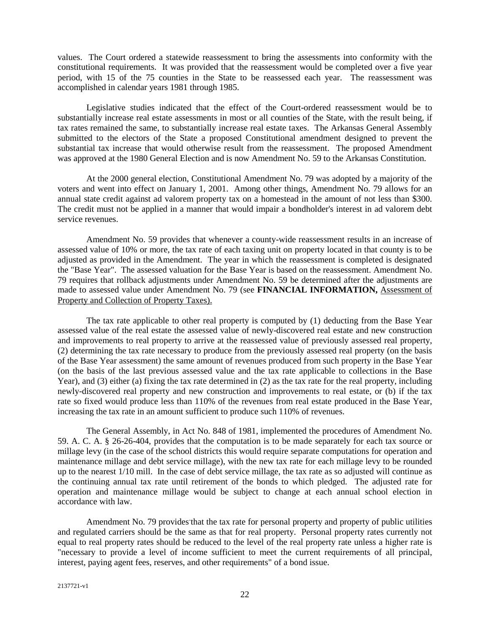values. The Court ordered a statewide reassessment to bring the assessments into conformity with the constitutional requirements. It was provided that the reassessment would be completed over a five year period, with 15 of the 75 counties in the State to be reassessed each year. The reassessment was accomplished in calendar years 1981 through 1985.

Legislative studies indicated that the effect of the Court-ordered reassessment would be to substantially increase real estate assessments in most or all counties of the State, with the result being, if tax rates remained the same, to substantially increase real estate taxes. The Arkansas General Assembly submitted to the electors of the State a proposed Constitutional amendment designed to prevent the substantial tax increase that would otherwise result from the reassessment. The proposed Amendment was approved at the 1980 General Election and is now Amendment No. 59 to the Arkansas Constitution.

At the 2000 general election, Constitutional Amendment No. 79 was adopted by a majority of the voters and went into effect on January 1, 2001. Among other things, Amendment No. 79 allows for an annual state credit against ad valorem property tax on a homestead in the amount of not less than \$300. The credit must not be applied in a manner that would impair a bondholder's interest in ad valorem debt service revenues.

Amendment No. 59 provides that whenever a county-wide reassessment results in an increase of assessed value of 10% or more, the tax rate of each taxing unit on property located in that county is to be adjusted as provided in the Amendment. The year in which the reassessment is completed is designated the "Base Year". The assessed valuation for the Base Year is based on the reassessment. Amendment No. 79 requires that rollback adjustments under Amendment No. 59 be determined after the adjustments are made to assessed value under Amendment No. 79 (see **FINANCIAL INFORMATION,** Assessment of Property and Collection of Property Taxes).

The tax rate applicable to other real property is computed by (1) deducting from the Base Year assessed value of the real estate the assessed value of newly-discovered real estate and new construction and improvements to real property to arrive at the reassessed value of previously assessed real property, (2) determining the tax rate necessary to produce from the previously assessed real property (on the basis of the Base Year assessment) the same amount of revenues produced from such property in the Base Year (on the basis of the last previous assessed value and the tax rate applicable to collections in the Base Year), and (3) either (a) fixing the tax rate determined in (2) as the tax rate for the real property, including newly-discovered real property and new construction and improvements to real estate, or (b) if the tax rate so fixed would produce less than 110% of the revenues from real estate produced in the Base Year, increasing the tax rate in an amount sufficient to produce such 110% of revenues.

The General Assembly, in Act No. 848 of 1981, implemented the procedures of Amendment No. 59. A. C. A. § 26-26-404, provides that the computation is to be made separately for each tax source or millage levy (in the case of the school districts this would require separate computations for operation and maintenance millage and debt service millage), with the new tax rate for each millage levy to be rounded up to the nearest 1/10 mill. In the case of debt service millage, the tax rate as so adjusted will continue as the continuing annual tax rate until retirement of the bonds to which pledged. The adjusted rate for operation and maintenance millage would be subject to change at each annual school election in accordance with law.

Amendment No. 79 provides that the tax rate for personal property and property of public utilities and regulated carriers should be the same as that for real property. Personal property rates currently not equal to real property rates should be reduced to the level of the real property rate unless a higher rate is "necessary to provide a level of income sufficient to meet the current requirements of all principal, interest, paying agent fees, reserves, and other requirements" of a bond issue.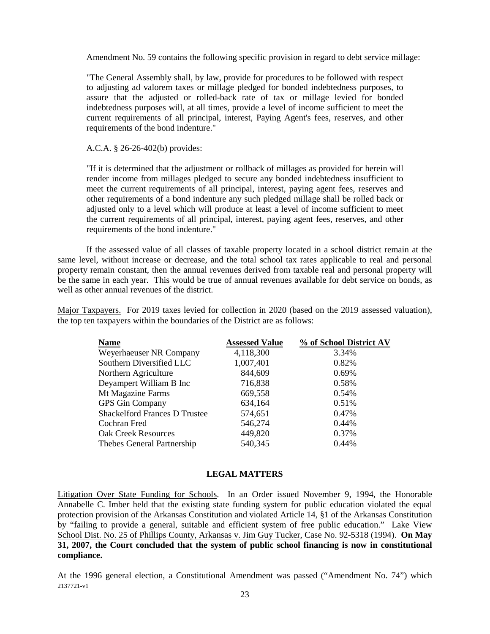Amendment No. 59 contains the following specific provision in regard to debt service millage:

"The General Assembly shall, by law, provide for procedures to be followed with respect to adjusting ad valorem taxes or millage pledged for bonded indebtedness purposes, to assure that the adjusted or rolled-back rate of tax or millage levied for bonded indebtedness purposes will, at all times, provide a level of income sufficient to meet the current requirements of all principal, interest, Paying Agent's fees, reserves, and other requirements of the bond indenture."

## A.C.A. § 26-26-402(b) provides:

"If it is determined that the adjustment or rollback of millages as provided for herein will render income from millages pledged to secure any bonded indebtedness insufficient to meet the current requirements of all principal, interest, paying agent fees, reserves and other requirements of a bond indenture any such pledged millage shall be rolled back or adjusted only to a level which will produce at least a level of income sufficient to meet the current requirements of all principal, interest, paying agent fees, reserves, and other requirements of the bond indenture."

If the assessed value of all classes of taxable property located in a school district remain at the same level, without increase or decrease, and the total school tax rates applicable to real and personal property remain constant, then the annual revenues derived from taxable real and personal property will be the same in each year. This would be true of annual revenues available for debt service on bonds, as well as other annual revenues of the district.

Major Taxpayers. For 2019 taxes levied for collection in 2020 (based on the 2019 assessed valuation), the top ten taxpayers within the boundaries of the District are as follows:

<span id="page-25-0"></span>

| Name                                 | <b>Assessed Value</b> | % of School District AV |
|--------------------------------------|-----------------------|-------------------------|
| Weyerhaeuser NR Company              | 4,118,300             | 3.34%                   |
| Southern Diversified LLC             | 1,007,401             | 0.82%                   |
| Northern Agriculture                 | 844,609               | 0.69%                   |
| Deyampert William B Inc              | 716,838               | 0.58%                   |
| Mt Magazine Farms                    | 669,558               | 0.54%                   |
| <b>GPS</b> Gin Company               | 634,164               | 0.51%                   |
| <b>Shackelford Frances D Trustee</b> | 574,651               | 0.47%                   |
| Cochran Fred                         | 546,274               | 0.44%                   |
| <b>Oak Creek Resources</b>           | 449,820               | 0.37%                   |
| Thebes General Partnership           | 540,345               | 0.44%                   |

## <span id="page-25-2"></span><span id="page-25-1"></span>**LEGAL MATTERS**

Litigation Over State Funding for Schools. In an Order issued November 9, 1994, the Honorable Annabelle C. Imber held that the existing state funding system for public education violated the equal protection provision of the Arkansas Constitution and violated Article 14, §1 of the Arkansas Constitution by "failing to provide a general, suitable and efficient system of free public education." Lake View School Dist. No. 25 of Phillips County, Arkansas v. Jim Guy Tucker, Case No. 92-5318 (1994). **On May 31, 2007, the Court concluded that the system of public school financing is now in constitutional compliance.**

2137721-v1 At the 1996 general election, a Constitutional Amendment was passed ("Amendment No. 74") which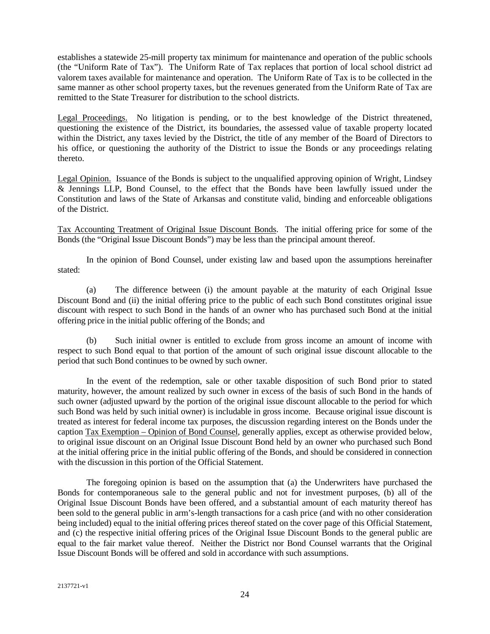establishes a statewide 25-mill property tax minimum for maintenance and operation of the public schools (the "Uniform Rate of Tax"). The Uniform Rate of Tax replaces that portion of local school district ad valorem taxes available for maintenance and operation. The Uniform Rate of Tax is to be collected in the same manner as other school property taxes, but the revenues generated from the Uniform Rate of Tax are remitted to the State Treasurer for distribution to the school districts.

<span id="page-26-0"></span>Legal Proceedings. No litigation is pending, or to the best knowledge of the District threatened, questioning the existence of the District, its boundaries, the assessed value of taxable property located within the District, any taxes levied by the District, the title of any member of the Board of Directors to his office, or questioning the authority of the District to issue the Bonds or any proceedings relating thereto.

<span id="page-26-1"></span>Legal Opinion. Issuance of the Bonds is subject to the unqualified approving opinion of Wright, Lindsey & Jennings LLP, Bond Counsel, to the effect that the Bonds have been lawfully issued under the Constitution and laws of the State of Arkansas and constitute valid, binding and enforceable obligations of the District.

<span id="page-26-2"></span>Tax Accounting Treatment of Original Issue Discount Bonds. The initial offering price for some of the Bonds (the "Original Issue Discount Bonds") may be less than the principal amount thereof.

In the opinion of Bond Counsel, under existing law and based upon the assumptions hereinafter stated:

(a) The difference between (i) the amount payable at the maturity of each Original Issue Discount Bond and (ii) the initial offering price to the public of each such Bond constitutes original issue discount with respect to such Bond in the hands of an owner who has purchased such Bond at the initial offering price in the initial public offering of the Bonds; and

(b) Such initial owner is entitled to exclude from gross income an amount of income with respect to such Bond equal to that portion of the amount of such original issue discount allocable to the period that such Bond continues to be owned by such owner.

In the event of the redemption, sale or other taxable disposition of such Bond prior to stated maturity, however, the amount realized by such owner in excess of the basis of such Bond in the hands of such owner (adjusted upward by the portion of the original issue discount allocable to the period for which such Bond was held by such initial owner) is includable in gross income. Because original issue discount is treated as interest for federal income tax purposes, the discussion regarding interest on the Bonds under the caption Tax Exemption – Opinion of Bond Counsel, generally applies, except as otherwise provided below, to original issue discount on an Original Issue Discount Bond held by an owner who purchased such Bond at the initial offering price in the initial public offering of the Bonds, and should be considered in connection with the discussion in this portion of the Official Statement.

The foregoing opinion is based on the assumption that (a) the Underwriters have purchased the Bonds for contemporaneous sale to the general public and not for investment purposes, (b) all of the Original Issue Discount Bonds have been offered, and a substantial amount of each maturity thereof has been sold to the general public in arm's-length transactions for a cash price (and with no other consideration being included) equal to the initial offering prices thereof stated on the cover page of this Official Statement, and (c) the respective initial offering prices of the Original Issue Discount Bonds to the general public are equal to the fair market value thereof. Neither the District nor Bond Counsel warrants that the Original Issue Discount Bonds will be offered and sold in accordance with such assumptions.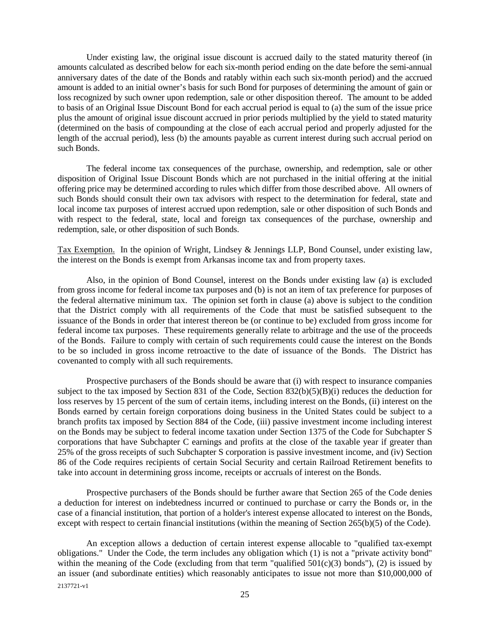Under existing law, the original issue discount is accrued daily to the stated maturity thereof (in amounts calculated as described below for each six-month period ending on the date before the semi-annual anniversary dates of the date of the Bonds and ratably within each such six-month period) and the accrued amount is added to an initial owner's basis for such Bond for purposes of determining the amount of gain or loss recognized by such owner upon redemption, sale or other disposition thereof. The amount to be added to basis of an Original Issue Discount Bond for each accrual period is equal to (a) the sum of the issue price plus the amount of original issue discount accrued in prior periods multiplied by the yield to stated maturity (determined on the basis of compounding at the close of each accrual period and properly adjusted for the length of the accrual period), less (b) the amounts payable as current interest during such accrual period on such Bonds.

The federal income tax consequences of the purchase, ownership, and redemption, sale or other disposition of Original Issue Discount Bonds which are not purchased in the initial offering at the initial offering price may be determined according to rules which differ from those described above. All owners of such Bonds should consult their own tax advisors with respect to the determination for federal, state and local income tax purposes of interest accrued upon redemption, sale or other disposition of such Bonds and with respect to the federal, state, local and foreign tax consequences of the purchase, ownership and redemption, sale, or other disposition of such Bonds.

<span id="page-27-0"></span>Tax Exemption. In the opinion of Wright, Lindsey & Jennings LLP, Bond Counsel, under existing law, the interest on the Bonds is exempt from Arkansas income tax and from property taxes.

Also, in the opinion of Bond Counsel, interest on the Bonds under existing law (a) is excluded from gross income for federal income tax purposes and (b) is not an item of tax preference for purposes of the federal alternative minimum tax. The opinion set forth in clause (a) above is subject to the condition that the District comply with all requirements of the Code that must be satisfied subsequent to the issuance of the Bonds in order that interest thereon be (or continue to be) excluded from gross income for federal income tax purposes. These requirements generally relate to arbitrage and the use of the proceeds of the Bonds. Failure to comply with certain of such requirements could cause the interest on the Bonds to be so included in gross income retroactive to the date of issuance of the Bonds. The District has covenanted to comply with all such requirements.

Prospective purchasers of the Bonds should be aware that (i) with respect to insurance companies subject to the tax imposed by Section 831 of the Code, Section 832(b)(5)(B)(i) reduces the deduction for loss reserves by 15 percent of the sum of certain items, including interest on the Bonds, (ii) interest on the Bonds earned by certain foreign corporations doing business in the United States could be subject to a branch profits tax imposed by Section 884 of the Code, (iii) passive investment income including interest on the Bonds may be subject to federal income taxation under Section 1375 of the Code for Subchapter S corporations that have Subchapter C earnings and profits at the close of the taxable year if greater than 25% of the gross receipts of such Subchapter S corporation is passive investment income, and (iv) Section 86 of the Code requires recipients of certain Social Security and certain Railroad Retirement benefits to take into account in determining gross income, receipts or accruals of interest on the Bonds.

Prospective purchasers of the Bonds should be further aware that Section 265 of the Code denies a deduction for interest on indebtedness incurred or continued to purchase or carry the Bonds or, in the case of a financial institution, that portion of a holder's interest expense allocated to interest on the Bonds, except with respect to certain financial institutions (within the meaning of Section 265(b)(5) of the Code).

<sup>2137721-</sup>v1 An exception allows a deduction of certain interest expense allocable to "qualified tax-exempt obligations." Under the Code, the term includes any obligation which (1) is not a "private activity bond" within the meaning of the Code (excluding from that term "qualified  $501(c)(3)$  bonds"), (2) is issued by an issuer (and subordinate entities) which reasonably anticipates to issue not more than \$10,000,000 of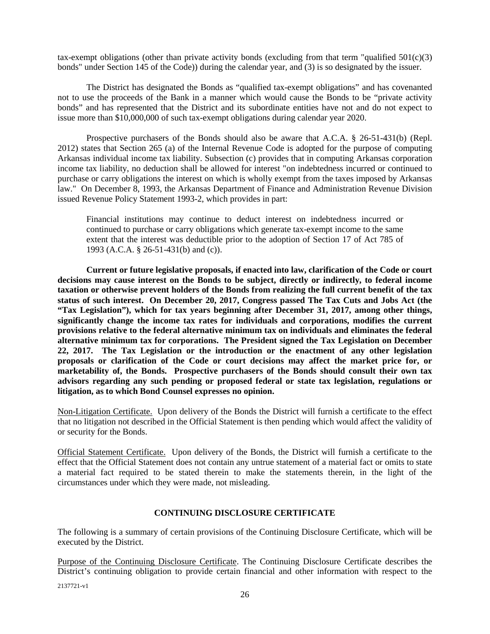tax-exempt obligations (other than private activity bonds (excluding from that term "qualified  $501(c)(3)$ ) bonds" under Section 145 of the Code)) during the calendar year, and (3) is so designated by the issuer.

The District has designated the Bonds as "qualified tax-exempt obligations" and has covenanted not to use the proceeds of the Bank in a manner which would cause the Bonds to be "private activity bonds" and has represented that the District and its subordinate entities have not and do not expect to issue more than \$10,000,000 of such tax-exempt obligations during calendar year 2020.

Prospective purchasers of the Bonds should also be aware that A.C.A. § 26-51-431(b) (Repl. 2012) states that Section 265 (a) of the Internal Revenue Code is adopted for the purpose of computing Arkansas individual income tax liability. Subsection (c) provides that in computing Arkansas corporation income tax liability, no deduction shall be allowed for interest "on indebtedness incurred or continued to purchase or carry obligations the interest on which is wholly exempt from the taxes imposed by Arkansas law." On December 8, 1993, the Arkansas Department of Finance and Administration Revenue Division issued Revenue Policy Statement 1993-2, which provides in part:

Financial institutions may continue to deduct interest on indebtedness incurred or continued to purchase or carry obligations which generate tax-exempt income to the same extent that the interest was deductible prior to the adoption of Section 17 of Act 785 of 1993 (A.C.A. § 26-51-431(b) and (c)).

**Current or future legislative proposals, if enacted into law, clarification of the Code or court decisions may cause interest on the Bonds to be subject, directly or indirectly, to federal income taxation or otherwise prevent holders of the Bonds from realizing the full current benefit of the tax status of such interest. On December 20, 2017, Congress passed The Tax Cuts and Jobs Act (the "Tax Legislation"), which for tax years beginning after December 31, 2017, among other things, significantly change the income tax rates for individuals and corporations, modifies the current provisions relative to the federal alternative minimum tax on individuals and eliminates the federal alternative minimum tax for corporations. The President signed the Tax Legislation on December 22, 2017. The Tax Legislation or the introduction or the enactment of any other legislation proposals or clarification of the Code or court decisions may affect the market price for, or marketability of, the Bonds. Prospective purchasers of the Bonds should consult their own tax advisors regarding any such pending or proposed federal or state tax legislation, regulations or litigation, as to which Bond Counsel expresses no opinion.** 

<span id="page-28-0"></span>Non-Litigation Certificate. Upon delivery of the Bonds the District will furnish a certificate to the effect that no litigation not described in the Official Statement is then pending which would affect the validity of or security for the Bonds.

Official Statement Certificate. Upon delivery of the Bonds, the District will furnish a certificate to the effect that the Official Statement does not contain any untrue statement of a material fact or omits to state a material fact required to be stated therein to make the statements therein, in the light of the circumstances under which they were made, not misleading.

# <span id="page-28-2"></span><span id="page-28-1"></span>**CONTINUING DISCLOSURE CERTIFICATE**

The following is a summary of certain provisions of the Continuing Disclosure Certificate, which will be executed by the District.

Purpose of the Continuing Disclosure Certificate. The Continuing Disclosure Certificate describes the District's continuing obligation to provide certain financial and other information with respect to the

2137721-v1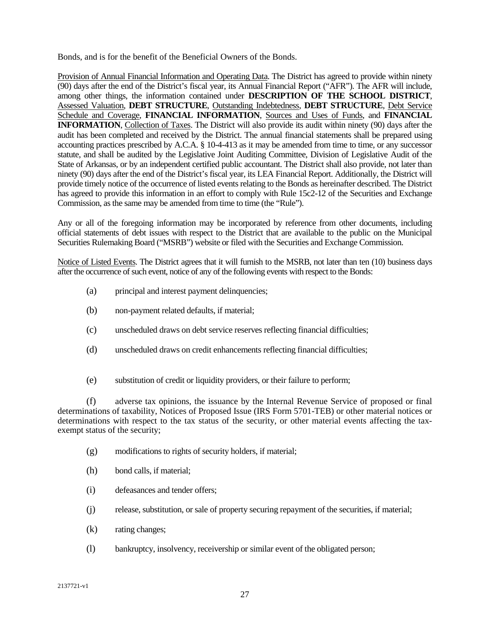Bonds, and is for the benefit of the Beneficial Owners of the Bonds.

Provision of Annual Financial Information and Operating Data. The District has agreed to provide within ninety (90) days after the end of the District's fiscal year, its Annual Financial Report ("AFR"). The AFR will include, among other things, the information contained under **DESCRIPTION OF THE SCHOOL DISTRICT**, Assessed Valuation, **DEBT STRUCTURE**, Outstanding Indebtedness, **DEBT STRUCTURE**, Debt Service Schedule and Coverage, **FINANCIAL INFORMATION**, Sources and Uses of Funds, and **FINANCIAL INFORMATION**, Collection of Taxes. The District will also provide its audit within ninety (90) days after the audit has been completed and received by the District. The annual financial statements shall be prepared using accounting practices prescribed by A.C.A. § 10-4-413 as it may be amended from time to time, or any successor statute, and shall be audited by the Legislative Joint Auditing Committee, Division of Legislative Audit of the State of Arkansas, or by an independent certified public accountant. The District shall also provide, not later than ninety (90) days after the end of the District's fiscal year, its LEA Financial Report. Additionally, the District will provide timely notice of the occurrence of listed events relating to the Bonds as hereinafter described. The District has agreed to provide this information in an effort to comply with Rule 15c2-12 of the Securities and Exchange Commission, as the same may be amended from time to time (the "Rule").

Any or all of the foregoing information may be incorporated by reference from other documents, including official statements of debt issues with respect to the District that are available to the public on the Municipal Securities Rulemaking Board ("MSRB") website or filed with the Securities and Exchange Commission.

Notice of Listed Events. The District agrees that it will furnish to the MSRB, not later than ten (10) business days after the occurrence of such event, notice of any of the following events with respect to the Bonds:

- (a) principal and interest payment delinquencies;
- (b) non-payment related defaults, if material;
- (c) unscheduled draws on debt service reserves reflecting financial difficulties;
- (d) unscheduled draws on credit enhancements reflecting financial difficulties;
- (e) substitution of credit or liquidity providers, or their failure to perform;

(f) adverse tax opinions, the issuance by the Internal Revenue Service of proposed or final determinations of taxability, Notices of Proposed Issue (IRS Form 5701-TEB) or other material notices or determinations with respect to the tax status of the security, or other material events affecting the taxexempt status of the security;

- (g) modifications to rights of security holders, if material;
- (h) bond calls, if material;
- (i) defeasances and tender offers;
- (j) release, substitution, or sale of property securing repayment of the securities, if material;
- (k) rating changes;
- (l) bankruptcy, insolvency, receivership or similar event of the obligated person;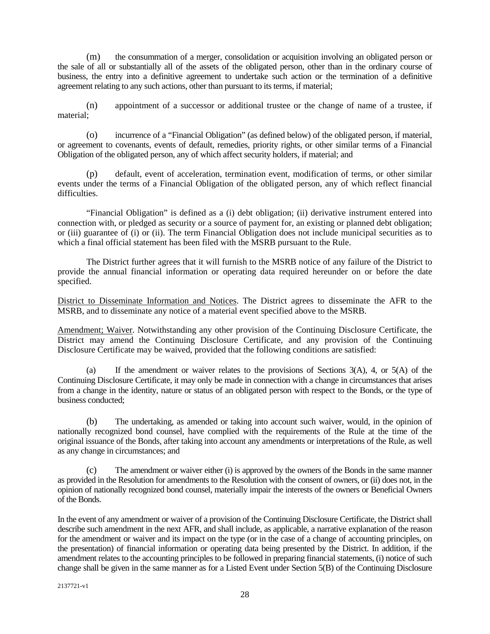(m) the consummation of a merger, consolidation or acquisition involving an obligated person or the sale of all or substantially all of the assets of the obligated person, other than in the ordinary course of business, the entry into a definitive agreement to undertake such action or the termination of a definitive agreement relating to any such actions, other than pursuant to its terms, if material;

(n) appointment of a successor or additional trustee or the change of name of a trustee, if material;

(o) incurrence of a "Financial Obligation" (as defined below) of the obligated person, if material, or agreement to covenants, events of default, remedies, priority rights, or other similar terms of a Financial Obligation of the obligated person, any of which affect security holders, if material; and

(p) default, event of acceleration, termination event, modification of terms, or other similar events under the terms of a Financial Obligation of the obligated person, any of which reflect financial difficulties.

"Financial Obligation" is defined as a (i) debt obligation; (ii) derivative instrument entered into connection with, or pledged as security or a source of payment for, an existing or planned debt obligation; or (iii) guarantee of (i) or (ii). The term Financial Obligation does not include municipal securities as to which a final official statement has been filed with the MSRB pursuant to the Rule.

The District further agrees that it will furnish to the MSRB notice of any failure of the District to provide the annual financial information or operating data required hereunder on or before the date specified.

District to Disseminate Information and Notices. The District agrees to disseminate the AFR to the MSRB, and to disseminate any notice of a material event specified above to the MSRB.

Amendment; Waiver. Notwithstanding any other provision of the Continuing Disclosure Certificate, the District may amend the Continuing Disclosure Certificate, and any provision of the Continuing Disclosure Certificate may be waived, provided that the following conditions are satisfied:

(a) If the amendment or waiver relates to the provisions of Sections  $3(A)$ , 4, or  $5(A)$  of the Continuing Disclosure Certificate, it may only be made in connection with a change in circumstances that arises from a change in the identity, nature or status of an obligated person with respect to the Bonds, or the type of business conducted;

(b) The undertaking, as amended or taking into account such waiver, would, in the opinion of nationally recognized bond counsel, have complied with the requirements of the Rule at the time of the original issuance of the Bonds, after taking into account any amendments or interpretations of the Rule, as well as any change in circumstances; and

The amendment or waiver either (i) is approved by the owners of the Bonds in the same manner as provided in the Resolution for amendments to the Resolution with the consent of owners, or (ii) does not, in the opinion of nationally recognized bond counsel, materially impair the interests of the owners or Beneficial Owners of the Bonds.

In the event of any amendment or waiver of a provision of the Continuing Disclosure Certificate, the District shall describe such amendment in the next AFR, and shall include, as applicable, a narrative explanation of the reason for the amendment or waiver and its impact on the type (or in the case of a change of accounting principles, on the presentation) of financial information or operating data being presented by the District. In addition, if the amendment relates to the accounting principles to be followed in preparing financial statements, (i) notice of such change shall be given in the same manner as for a Listed Event under Section 5(B) of the Continuing Disclosure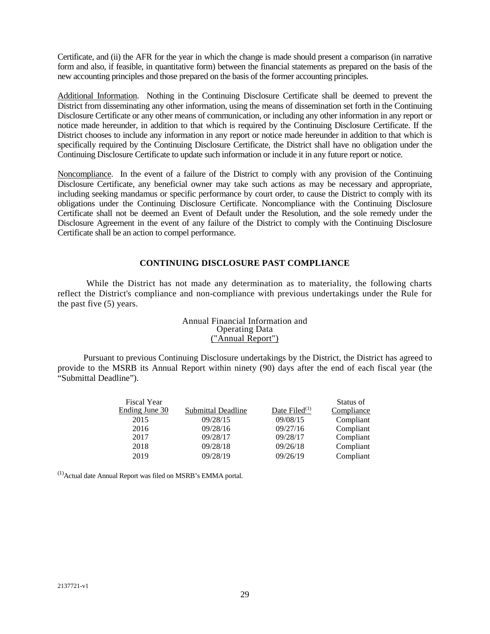Certificate, and (ii) the AFR for the year in which the change is made should present a comparison (in narrative form and also, if feasible, in quantitative form) between the financial statements as prepared on the basis of the new accounting principles and those prepared on the basis of the former accounting principles.

Additional Information. Nothing in the Continuing Disclosure Certificate shall be deemed to prevent the District from disseminating any other information, using the means of dissemination set forth in the Continuing Disclosure Certificate or any other means of communication, or including any other information in any report or notice made hereunder, in addition to that which is required by the Continuing Disclosure Certificate. If the District chooses to include any information in any report or notice made hereunder in addition to that which is specifically required by the Continuing Disclosure Certificate, the District shall have no obligation under the Continuing Disclosure Certificate to update such information or include it in any future report or notice.

Noncompliance. In the event of a failure of the District to comply with any provision of the Continuing Disclosure Certificate, any beneficial owner may take such actions as may be necessary and appropriate, including seeking mandamus or specific performance by court order, to cause the District to comply with its obligations under the Continuing Disclosure Certificate. Noncompliance with the Continuing Disclosure Certificate shall not be deemed an Event of Default under the Resolution, and the sole remedy under the Disclosure Agreement in the event of any failure of the District to comply with the Continuing Disclosure Certificate shall be an action to compel performance.

## **CONTINUING DISCLOSURE PAST COMPLIANCE**

While the District has not made any determination as to materiality, the following charts reflect the District's compliance and non-compliance with previous undertakings under the Rule for the past five (5) years.

## <span id="page-31-0"></span>Annual Financial Information and Operating Data ("Annual Report")

Pursuant to previous Continuing Disclosure undertakings by the District, the District has agreed to provide to the MSRB its Annual Report within ninety (90) days after the end of each fiscal year (the "Submittal Deadline").

|                    |                  | Status of  |
|--------------------|------------------|------------|
| Submittal Deadline | Date Filed $(1)$ | Compliance |
| 09/28/15           | 09/08/15         | Compliant  |
| 09/28/16           | 09/27/16         | Compliant  |
| 09/28/17           | 09/28/17         | Compliant  |
| 09/28/18           | 09/26/18         | Compliant  |
| 09/28/19           | 09/26/19         | Compliant  |
|                    |                  |            |

 $<sup>(1)</sup>$ Actual date Annual Report was filed on MSRB's EMMA portal.</sup>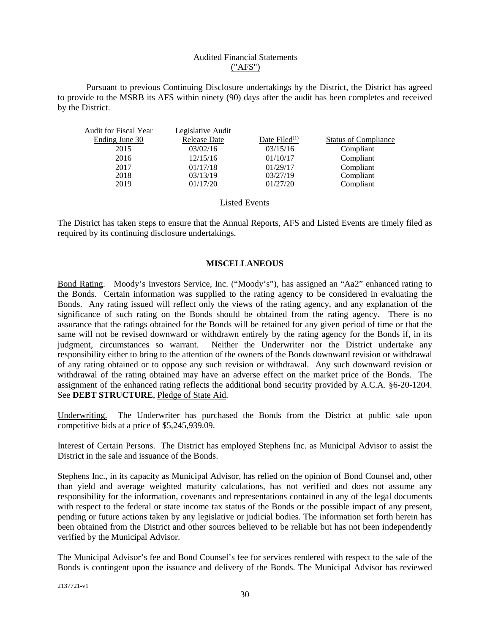## Audited Financial Statements ("AFS")

Pursuant to previous Continuing Disclosure undertakings by the District, the District has agreed to provide to the MSRB its AFS within ninety (90) days after the audit has been completes and received by the District.

| <b>Audit for Fiscal Year</b> | Legislative Audit   |                  |                             |
|------------------------------|---------------------|------------------|-----------------------------|
| Ending June 30               | <b>Release Date</b> | Date Filed $(1)$ | <b>Status of Compliance</b> |
| 2015                         | 03/02/16            | 03/15/16         | Compliant                   |
| 2016                         | 12/15/16            | 01/10/17         | Compliant                   |
| 2017                         | 01/17/18            | 01/29/17         | Compliant                   |
| 2018                         | 03/13/19            | 03/27/19         | Compliant                   |
| 2019                         | 01/17/20            | 01/27/20         | Compliant                   |

## Listed Events

The District has taken steps to ensure that the Annual Reports, AFS and Listed Events are timely filed as required by its continuing disclosure undertakings.

## <span id="page-32-0"></span>**MISCELLANEOUS**

<span id="page-32-1"></span>Bond Rating. Moody's Investors Service, Inc. ("Moody's"), has assigned an "Aa2" enhanced rating to the Bonds. Certain information was supplied to the rating agency to be considered in evaluating the Bonds. Any rating issued will reflect only the views of the rating agency, and any explanation of the significance of such rating on the Bonds should be obtained from the rating agency. There is no assurance that the ratings obtained for the Bonds will be retained for any given period of time or that the same will not be revised downward or withdrawn entirely by the rating agency for the Bonds if, in its judgment, circumstances so warrant. Neither the Underwriter nor the District undertake any responsibility either to bring to the attention of the owners of the Bonds downward revision or withdrawal of any rating obtained or to oppose any such revision or withdrawal. Any such downward revision or withdrawal of the rating obtained may have an adverse effect on the market price of the Bonds. The assignment of the enhanced rating reflects the additional bond security provided by A.C.A. §6-20-1204. See **DEBT STRUCTURE**, Pledge of State Aid.

<span id="page-32-2"></span>Underwriting. The Underwriter has purchased the Bonds from the District at public sale upon competitive bids at a price of \$5,245,939.09.

<span id="page-32-3"></span>Interest of Certain Persons. The District has employed Stephens Inc. as Municipal Advisor to assist the District in the sale and issuance of the Bonds.

Stephens Inc., in its capacity as Municipal Advisor, has relied on the opinion of Bond Counsel and, other than yield and average weighted maturity calculations, has not verified and does not assume any responsibility for the information, covenants and representations contained in any of the legal documents with respect to the federal or state income tax status of the Bonds or the possible impact of any present, pending or future actions taken by any legislative or judicial bodies. The information set forth herein has been obtained from the District and other sources believed to be reliable but has not been independently verified by the Municipal Advisor.

The Municipal Advisor's fee and Bond Counsel's fee for services rendered with respect to the sale of the Bonds is contingent upon the issuance and delivery of the Bonds. The Municipal Advisor has reviewed

2137721-v1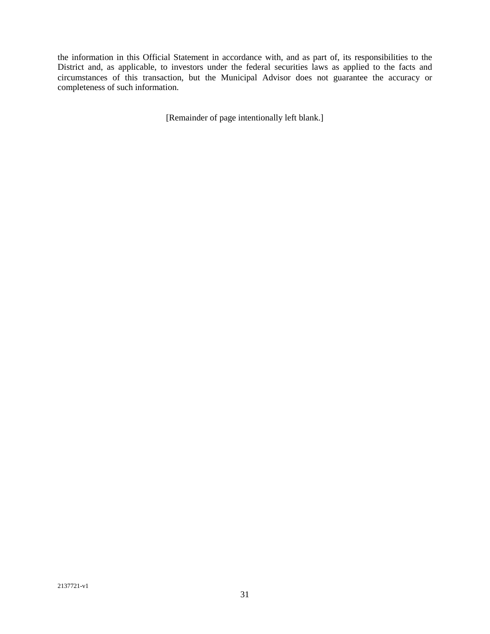the information in this Official Statement in accordance with, and as part of, its responsibilities to the District and, as applicable, to investors under the federal securities laws as applied to the facts and circumstances of this transaction, but the Municipal Advisor does not guarantee the accuracy or completeness of such information.

[Remainder of page intentionally left blank.]